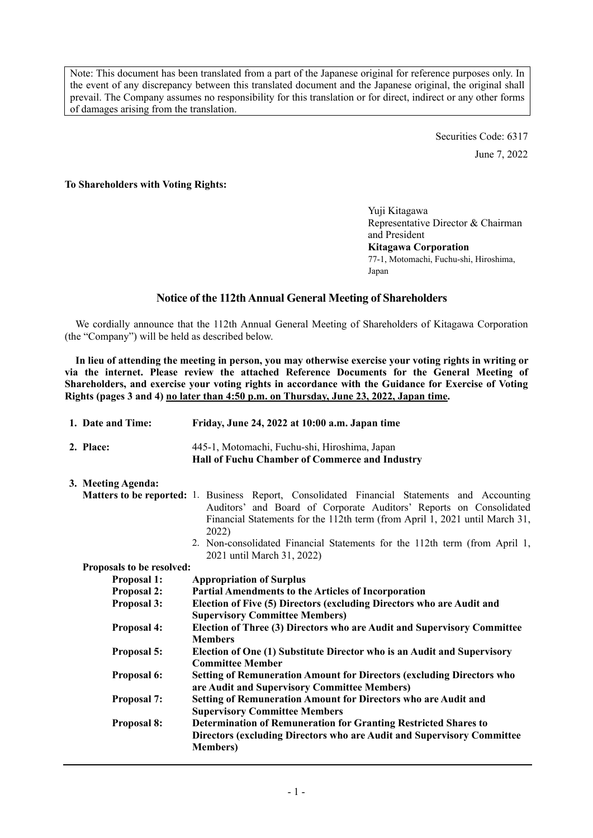Note: This document has been translated from a part of the Japanese original for reference purposes only. In the event of any discrepancy between this translated document and the Japanese original, the original shall prevail. The Company assumes no responsibility for this translation or for direct, indirect or any other forms of damages arising from the translation.

> Securities Code: 6317 June 7, 2022

## **To Shareholders with Voting Rights:**

Yuji Kitagawa Representative Director & Chairman and President **Kitagawa Corporation**  77-1, Motomachi, Fuchu-shi, Hiroshima, Japan

## **Notice of the 112th Annual General Meeting of Shareholders**

We cordially announce that the 112th Annual General Meeting of Shareholders of Kitagawa Corporation (the "Company") will be held as described below.

**In lieu of attending the meeting in person, you may otherwise exercise your voting rights in writing or via the internet. Please review the attached Reference Documents for the General Meeting of Shareholders, and exercise your voting rights in accordance with the Guidance for Exercise of Voting Rights (pages 3 and 4) no later than 4:50 p.m. on Thursday, June 23, 2022, Japan time.** 

|                                          | 1. Date and Time:         | Friday, June 24, 2022 at 10:00 a.m. Japan time                                                                                                                                                                                                                                                                                                  |  |  |  |  |
|------------------------------------------|---------------------------|-------------------------------------------------------------------------------------------------------------------------------------------------------------------------------------------------------------------------------------------------------------------------------------------------------------------------------------------------|--|--|--|--|
|                                          | 2. Place:                 | 445-1, Motomachi, Fuchu-shi, Hiroshima, Japan<br>Hall of Fuchu Chamber of Commerce and Industry                                                                                                                                                                                                                                                 |  |  |  |  |
|                                          | 3. Meeting Agenda:        |                                                                                                                                                                                                                                                                                                                                                 |  |  |  |  |
|                                          |                           | <b>Matters to be reported:</b> 1. Business Report, Consolidated Financial Statements and Accounting<br>Auditors' and Board of Corporate Auditors' Reports on Consolidated<br>Financial Statements for the 112th term (from April 1, 2021 until March 31,<br>2022)<br>2. Non-consolidated Financial Statements for the 112th term (from April 1, |  |  |  |  |
|                                          |                           | 2021 until March 31, 2022)                                                                                                                                                                                                                                                                                                                      |  |  |  |  |
|                                          | Proposals to be resolved: |                                                                                                                                                                                                                                                                                                                                                 |  |  |  |  |
| <b>Proposal 1:</b><br><b>Proposal 2:</b> |                           | <b>Appropriation of Surplus</b>                                                                                                                                                                                                                                                                                                                 |  |  |  |  |
|                                          |                           | <b>Partial Amendments to the Articles of Incorporation</b>                                                                                                                                                                                                                                                                                      |  |  |  |  |
|                                          | <b>Proposal 3:</b>        | Election of Five (5) Directors (excluding Directors who are Audit and<br><b>Supervisory Committee Members)</b>                                                                                                                                                                                                                                  |  |  |  |  |
|                                          | <b>Proposal 4:</b>        | Election of Three (3) Directors who are Audit and Supervisory Committee<br><b>Members</b>                                                                                                                                                                                                                                                       |  |  |  |  |
|                                          | Proposal 5:               | Election of One (1) Substitute Director who is an Audit and Supervisory<br><b>Committee Member</b>                                                                                                                                                                                                                                              |  |  |  |  |
|                                          | Proposal 6:               | <b>Setting of Remuneration Amount for Directors (excluding Directors who</b><br>are Audit and Supervisory Committee Members)                                                                                                                                                                                                                    |  |  |  |  |
|                                          | <b>Proposal 7:</b>        | <b>Setting of Remuneration Amount for Directors who are Audit and</b><br><b>Supervisory Committee Members</b>                                                                                                                                                                                                                                   |  |  |  |  |
|                                          | <b>Proposal 8:</b>        | <b>Determination of Remuneration for Granting Restricted Shares to</b><br>Directors (excluding Directors who are Audit and Supervisory Committee<br><b>Members</b> )                                                                                                                                                                            |  |  |  |  |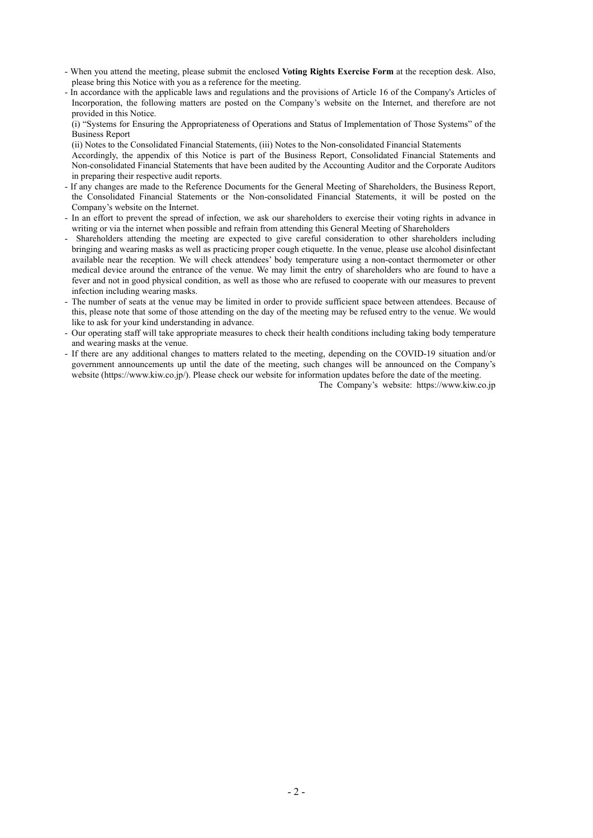- When you attend the meeting, please submit the enclosed **Voting Rights Exercise Form** at the reception desk. Also, please bring this Notice with you as a reference for the meeting.
- In accordance with the applicable laws and regulations and the provisions of Article 16 of the Company's Articles of Incorporation, the following matters are posted on the Company's website on the Internet, and therefore are not provided in this Notice.

 (i) "Systems for Ensuring the Appropriateness of Operations and Status of Implementation of Those Systems" of the Business Report

(ii) Notes to the Consolidated Financial Statements, (iii) Notes to the Non-consolidated Financial Statements

 Accordingly, the appendix of this Notice is part of the Business Report, Consolidated Financial Statements and Non-consolidated Financial Statements that have been audited by the Accounting Auditor and the Corporate Auditors in preparing their respective audit reports.

- If any changes are made to the Reference Documents for the General Meeting of Shareholders, the Business Report, the Consolidated Financial Statements or the Non-consolidated Financial Statements, it will be posted on the Company's website on the Internet.
- In an effort to prevent the spread of infection, we ask our shareholders to exercise their voting rights in advance in writing or via the internet when possible and refrain from attending this General Meeting of Shareholders
- Shareholders attending the meeting are expected to give careful consideration to other shareholders including bringing and wearing masks as well as practicing proper cough etiquette. In the venue, please use alcohol disinfectant available near the reception. We will check attendees' body temperature using a non-contact thermometer or other medical device around the entrance of the venue. We may limit the entry of shareholders who are found to have a fever and not in good physical condition, as well as those who are refused to cooperate with our measures to prevent infection including wearing masks.
- The number of seats at the venue may be limited in order to provide sufficient space between attendees. Because of this, please note that some of those attending on the day of the meeting may be refused entry to the venue. We would like to ask for your kind understanding in advance.
- Our operating staff will take appropriate measures to check their health conditions including taking body temperature and wearing masks at the venue.
- If there are any additional changes to matters related to the meeting, depending on the COVID-19 situation and/or government announcements up until the date of the meeting, such changes will be announced on the Company's website (https://www.kiw.co.jp/). Please check our website for information updates before the date of the meeting.

The Company's website: https://www.kiw.co.jp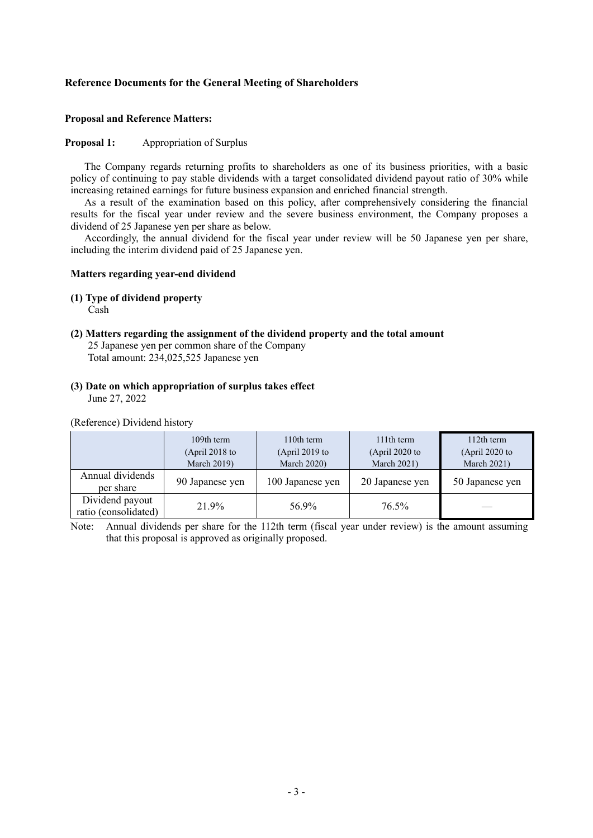## **Reference Documents for the General Meeting of Shareholders**

#### **Proposal and Reference Matters:**

#### **Proposal 1:** Appropriation of Surplus

The Company regards returning profits to shareholders as one of its business priorities, with a basic policy of continuing to pay stable dividends with a target consolidated dividend payout ratio of 30% while increasing retained earnings for future business expansion and enriched financial strength.

As a result of the examination based on this policy, after comprehensively considering the financial results for the fiscal year under review and the severe business environment, the Company proposes a dividend of 25 Japanese yen per share as below.

Accordingly, the annual dividend for the fiscal year under review will be 50 Japanese yen per share, including the interim dividend paid of 25 Japanese yen.

#### **Matters regarding year-end dividend**

#### **(1) Type of dividend property**

Cash

# **(2) Matters regarding the assignment of the dividend property and the total amount**

- 25 Japanese yen per common share of the Company Total amount: 234,025,525 Japanese yen
- **(3) Date on which appropriation of surplus takes effect**  June 27, 2022

(Reference) Dividend history

|                                         | 109th term<br>(April 2018 to<br><b>March 2019)</b> | 110th term<br>(April 2019 to<br><b>March 2020)</b> | 111th term<br>(April 2020 to<br><b>March 2021)</b> | 112th term<br>(April 2020 to<br><b>March 2021)</b> |
|-----------------------------------------|----------------------------------------------------|----------------------------------------------------|----------------------------------------------------|----------------------------------------------------|
| Annual dividends<br>per share           | 90 Japanese yen                                    | 100 Japanese yen                                   | 20 Japanese yen                                    | 50 Japanese yen                                    |
| Dividend payout<br>ratio (consolidated) | 21.9%                                              | 56.9%                                              | 76.5%                                              |                                                    |

Note: Annual dividends per share for the 112th term (fiscal year under review) is the amount assuming that this proposal is approved as originally proposed.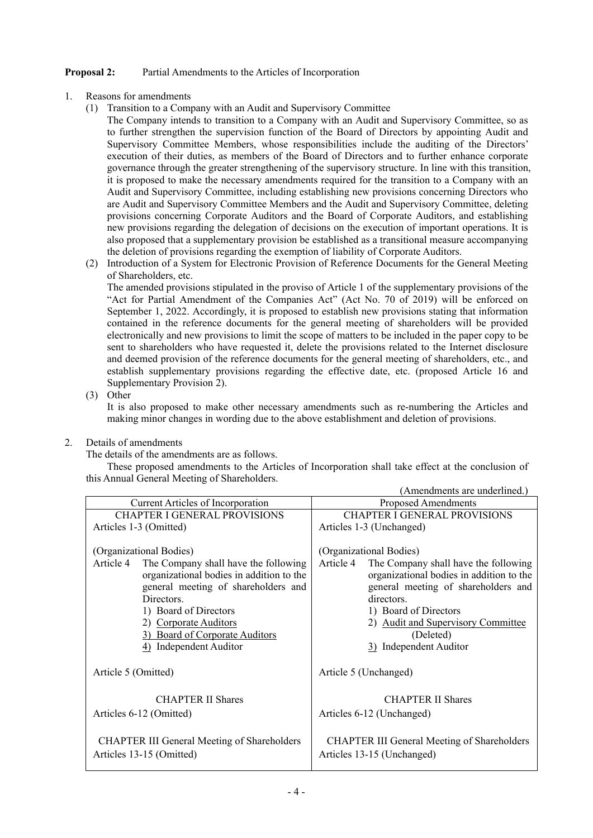# **Proposal 2:** Partial Amendments to the Articles of Incorporation

- 1. Reasons for amendments
	- (1) Transition to a Company with an Audit and Supervisory Committee

The Company intends to transition to a Company with an Audit and Supervisory Committee, so as to further strengthen the supervision function of the Board of Directors by appointing Audit and Supervisory Committee Members, whose responsibilities include the auditing of the Directors' execution of their duties, as members of the Board of Directors and to further enhance corporate governance through the greater strengthening of the supervisory structure. In line with this transition, it is proposed to make the necessary amendments required for the transition to a Company with an Audit and Supervisory Committee, including establishing new provisions concerning Directors who are Audit and Supervisory Committee Members and the Audit and Supervisory Committee, deleting provisions concerning Corporate Auditors and the Board of Corporate Auditors, and establishing new provisions regarding the delegation of decisions on the execution of important operations. It is also proposed that a supplementary provision be established as a transitional measure accompanying the deletion of provisions regarding the exemption of liability of Corporate Auditors.

(2) Introduction of a System for Electronic Provision of Reference Documents for the General Meeting of Shareholders, etc.

The amended provisions stipulated in the proviso of Article 1 of the supplementary provisions of the "Act for Partial Amendment of the Companies Act" (Act No. 70 of 2019) will be enforced on September 1, 2022. Accordingly, it is proposed to establish new provisions stating that information contained in the reference documents for the general meeting of shareholders will be provided electronically and new provisions to limit the scope of matters to be included in the paper copy to be sent to shareholders who have requested it, delete the provisions related to the Internet disclosure and deemed provision of the reference documents for the general meeting of shareholders, etc., and establish supplementary provisions regarding the effective date, etc. (proposed Article 16 and Supplementary Provision 2).

(3) Other

It is also proposed to make other necessary amendments such as re-numbering the Articles and making minor changes in wording due to the above establishment and deletion of provisions.

2. Details of amendments

The details of the amendments are as follows.

These proposed amendments to the Articles of Incorporation shall take effect at the conclusion of this Annual General Meeting of Shareholders.

|                                                                                                                                                                                                                                                                                             | (Amendments are underlined.)                                                                                                                                                                                                                                                        |  |  |
|---------------------------------------------------------------------------------------------------------------------------------------------------------------------------------------------------------------------------------------------------------------------------------------------|-------------------------------------------------------------------------------------------------------------------------------------------------------------------------------------------------------------------------------------------------------------------------------------|--|--|
| Current Articles of Incorporation                                                                                                                                                                                                                                                           | Proposed Amendments                                                                                                                                                                                                                                                                 |  |  |
| <b>CHAPTER I GENERAL PROVISIONS</b>                                                                                                                                                                                                                                                         | <b>CHAPTER I GENERAL PROVISIONS</b>                                                                                                                                                                                                                                                 |  |  |
| Articles 1-3 (Omitted)                                                                                                                                                                                                                                                                      | Articles 1-3 (Unchanged)                                                                                                                                                                                                                                                            |  |  |
| (Organizational Bodies)<br>Article 4<br>The Company shall have the following<br>organizational bodies in addition to the<br>general meeting of shareholders and<br>Directors.<br>1) Board of Directors<br>2) Corporate Auditors<br>3) Board of Corporate Auditors<br>4) Independent Auditor | (Organizational Bodies)<br>Article 4<br>The Company shall have the following<br>organizational bodies in addition to the<br>general meeting of shareholders and<br>directors.<br>1) Board of Directors<br>2) Audit and Supervisory Committee<br>(Deleted)<br>3) Independent Auditor |  |  |
| Article 5 (Omitted)                                                                                                                                                                                                                                                                         | Article 5 (Unchanged)                                                                                                                                                                                                                                                               |  |  |
| <b>CHAPTER II Shares</b><br>Articles 6-12 (Omitted)                                                                                                                                                                                                                                         | <b>CHAPTER II Shares</b><br>Articles 6-12 (Unchanged)                                                                                                                                                                                                                               |  |  |
| <b>CHAPTER III General Meeting of Shareholders</b><br>Articles 13-15 (Omitted)                                                                                                                                                                                                              | <b>CHAPTER III General Meeting of Shareholders</b><br>Articles 13-15 (Unchanged)                                                                                                                                                                                                    |  |  |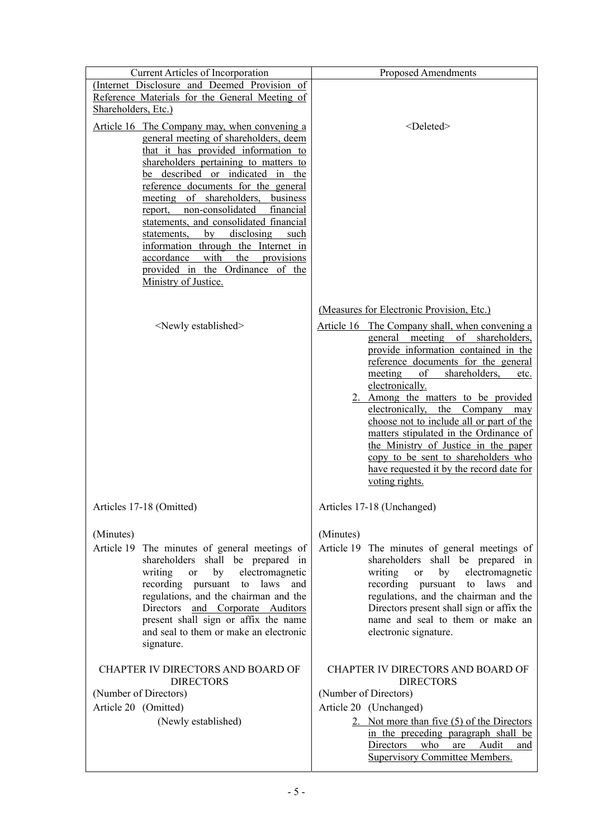| Current Articles of Incorporation                                                                                                                                                                                                                                                                                                                                                                                                                                                                                                                                          | <b>Proposed Amendments</b>                                                                                                                                                                                                                                                                                                                                                                                                                                                                                                                                                                  |
|----------------------------------------------------------------------------------------------------------------------------------------------------------------------------------------------------------------------------------------------------------------------------------------------------------------------------------------------------------------------------------------------------------------------------------------------------------------------------------------------------------------------------------------------------------------------------|---------------------------------------------------------------------------------------------------------------------------------------------------------------------------------------------------------------------------------------------------------------------------------------------------------------------------------------------------------------------------------------------------------------------------------------------------------------------------------------------------------------------------------------------------------------------------------------------|
| (Internet Disclosure and Deemed Provision of<br>Reference Materials for the General Meeting of<br>Shareholders, Etc.)                                                                                                                                                                                                                                                                                                                                                                                                                                                      |                                                                                                                                                                                                                                                                                                                                                                                                                                                                                                                                                                                             |
| Article 16 The Company may, when convening a<br>general meeting of shareholders, deem<br>that it has provided information to<br>shareholders pertaining to matters to<br>be described or indicated in the<br>reference documents for the general<br>of shareholders,<br>meeting<br>business<br>non-consolidated<br>financial<br>report,<br>statements, and consolidated financial<br>disclosing<br>by<br>statements,<br>such<br>information through the Internet in<br>with<br>the<br>accordance<br>provisions<br>provided in the Ordinance of the<br>Ministry of Justice. | <deleted></deleted>                                                                                                                                                                                                                                                                                                                                                                                                                                                                                                                                                                         |
| <newly established=""></newly>                                                                                                                                                                                                                                                                                                                                                                                                                                                                                                                                             | (Measures for Electronic Provision, Etc.)<br>Article 16 The Company shall, when convening a<br>general meeting of shareholders,<br>provide information contained in the<br>reference documents for the general<br>of<br>shareholders,<br>meeting<br>etc.<br>electronically.<br>2. Among the matters to be provided<br>electronically, the Company<br>may<br>choose not to include all or part of the<br>matters stipulated in the Ordinance of<br>the Ministry of Justice in the paper<br>copy to be sent to shareholders who<br>have requested it by the record date for<br>voting rights. |
| Articles 17-18 (Omitted)                                                                                                                                                                                                                                                                                                                                                                                                                                                                                                                                                   | Articles 17-18 (Unchanged)                                                                                                                                                                                                                                                                                                                                                                                                                                                                                                                                                                  |
| (Minutes)<br>Article 19 The minutes of general meetings of<br>shareholders shall be prepared in<br>electromagnetic<br>writing<br>by<br><b>or</b><br>recording pursuant<br>laws<br>to<br>and<br>regulations, and the chairman and the<br>Directors and Corporate Auditors<br>present shall sign or affix the name<br>and seal to them or make an electronic<br>signature.                                                                                                                                                                                                   | (Minutes)<br>Article 19 The minutes of general meetings of<br>shareholders shall be prepared in<br>electromagnetic<br>writing<br>by<br><b>or</b><br>recording pursuant to<br>laws<br>and<br>regulations, and the chairman and the<br>Directors present shall sign or affix the<br>name and seal to them or make an<br>electronic signature.                                                                                                                                                                                                                                                 |
| CHAPTER IV DIRECTORS AND BOARD OF<br><b>DIRECTORS</b><br>(Number of Directors)<br>Article 20 (Omitted)<br>(Newly established)                                                                                                                                                                                                                                                                                                                                                                                                                                              | CHAPTER IV DIRECTORS AND BOARD OF<br><b>DIRECTORS</b><br>(Number of Directors)<br>Article 20 (Unchanged)<br>2. Not more than five (5) of the Directors<br>in the preceding paragraph shall be<br>Audit<br>Directors who<br>are<br>and<br><b>Supervisory Committee Members.</b>                                                                                                                                                                                                                                                                                                              |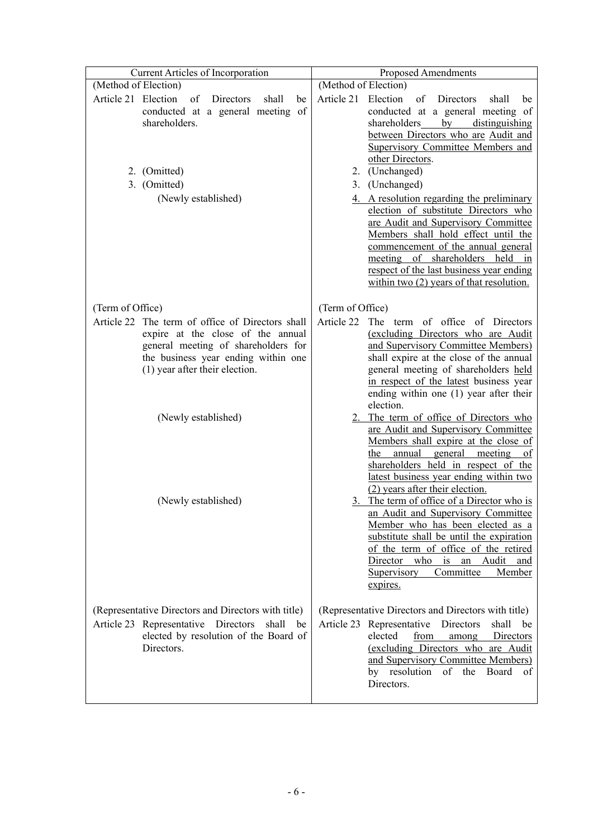| Current Articles of Incorporation                                                                                                                                                                                                                                       | <b>Proposed Amendments</b>                                                                                                                                                                                                                                                                                                                                                                                                                                                                                                                                                                                                                                                                                                                                                                                                                                                                                                 |  |  |
|-------------------------------------------------------------------------------------------------------------------------------------------------------------------------------------------------------------------------------------------------------------------------|----------------------------------------------------------------------------------------------------------------------------------------------------------------------------------------------------------------------------------------------------------------------------------------------------------------------------------------------------------------------------------------------------------------------------------------------------------------------------------------------------------------------------------------------------------------------------------------------------------------------------------------------------------------------------------------------------------------------------------------------------------------------------------------------------------------------------------------------------------------------------------------------------------------------------|--|--|
| (Method of Election)                                                                                                                                                                                                                                                    | (Method of Election)                                                                                                                                                                                                                                                                                                                                                                                                                                                                                                                                                                                                                                                                                                                                                                                                                                                                                                       |  |  |
| Article 21 Election<br>of<br>Directors<br>shall<br>be<br>conducted at a general meeting of<br>shareholders.<br>2. (Omitted)<br>3. (Omitted)<br>(Newly established)                                                                                                      | Article 21 Election<br>of<br>Directors<br>shall<br>be<br>conducted at a general meeting of<br>shareholders by<br>distinguishing<br>between Directors who are Audit and<br><b>Supervisory Committee Members and</b><br>other Directors.<br>(Unchanged)<br>2.<br>(Unchanged)<br>3.<br>4. A resolution regarding the preliminary<br>election of substitute Directors who<br>are Audit and Supervisory Committee<br>Members shall hold effect until the<br>commencement of the annual general<br>meeting of shareholders held in<br>respect of the last business year ending<br>within two $(2)$ years of that resolution.                                                                                                                                                                                                                                                                                                     |  |  |
|                                                                                                                                                                                                                                                                         |                                                                                                                                                                                                                                                                                                                                                                                                                                                                                                                                                                                                                                                                                                                                                                                                                                                                                                                            |  |  |
| (Term of Office)<br>Article 22 The term of office of Directors shall<br>expire at the close of the annual<br>general meeting of shareholders for<br>the business year ending within one<br>(1) year after their election.<br>(Newly established)<br>(Newly established) | (Term of Office)<br>Article 22<br>The term of office of Directors<br>(excluding Directors who are Audit<br>and Supervisory Committee Members)<br>shall expire at the close of the annual<br>general meeting of shareholders held<br>in respect of the latest business year<br>ending within one (1) year after their<br>election.<br>2. The term of office of Directors who<br>are Audit and Supervisory Committee<br>Members shall expire at the close of<br>annual<br>general meeting<br>the<br>of<br>shareholders held in respect of the<br><u>latest business year ending within two</u><br>(2) years after their election.<br>3. The term of office of a Director who is<br>an Audit and Supervisory Committee<br>Member who has been elected as a<br>substitute shall be until the expiration<br>of the term of office of the retired<br>Director<br>who is an<br>Audit<br>and<br>Committee<br>Supervisory<br>Member |  |  |
| (Representative Directors and Directors with title)<br>Article 23 Representative Directors<br>shall<br>be<br>elected by resolution of the Board of<br>Directors.                                                                                                        | expires.<br>(Representative Directors and Directors with title)<br>Article 23 Representative Directors<br>shall be<br>elected<br>from<br>Directors<br>among<br>(excluding Directors who are Audit<br>and Supervisory Committee Members)<br>by resolution<br>of the<br>Board<br>οf<br>Directors.                                                                                                                                                                                                                                                                                                                                                                                                                                                                                                                                                                                                                            |  |  |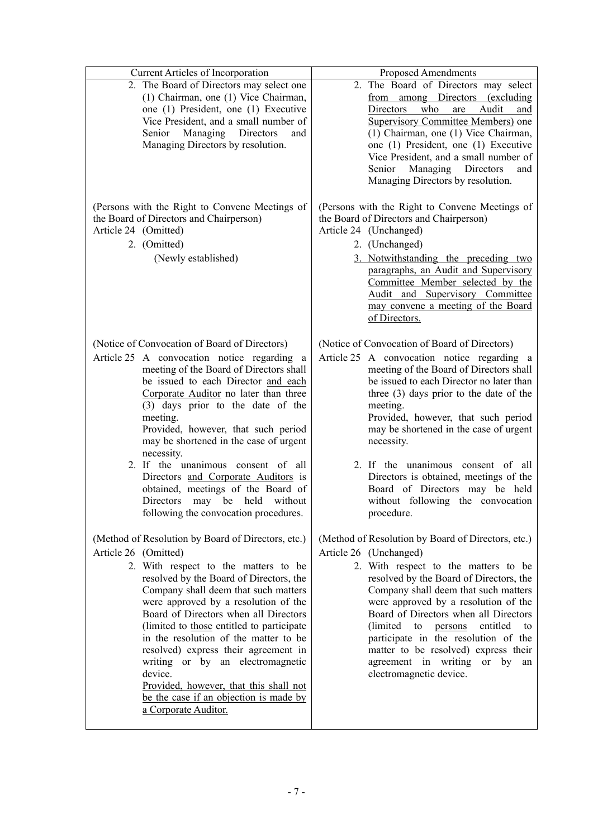| Current Articles of Incorporation                                                                                                                                                                                                                                                                                                                                                                                                                                                                                                                                                | Proposed Amendments                                                                                                                                                                                                                                                                                                                                                                                                                                                                                              |
|----------------------------------------------------------------------------------------------------------------------------------------------------------------------------------------------------------------------------------------------------------------------------------------------------------------------------------------------------------------------------------------------------------------------------------------------------------------------------------------------------------------------------------------------------------------------------------|------------------------------------------------------------------------------------------------------------------------------------------------------------------------------------------------------------------------------------------------------------------------------------------------------------------------------------------------------------------------------------------------------------------------------------------------------------------------------------------------------------------|
| 2. The Board of Directors may select one<br>(1) Chairman, one (1) Vice Chairman,<br>one (1) President, one (1) Executive<br>Vice President, and a small number of<br>Managing Directors<br>Senior<br>and<br>Managing Directors by resolution.                                                                                                                                                                                                                                                                                                                                    | 2. The Board of Directors may select<br>from among Directors (excluding<br>Directors<br>who<br>Audit<br>are<br>and<br><b>Supervisory Committee Members)</b> one<br>(1) Chairman, one (1) Vice Chairman,<br>one (1) President, one (1) Executive<br>Vice President, and a small number of<br>Senior Managing Directors<br>and<br>Managing Directors by resolution.                                                                                                                                                |
| (Persons with the Right to Convene Meetings of<br>the Board of Directors and Chairperson)<br>Article 24 (Omitted)<br>2. (Omitted)<br>(Newly established)                                                                                                                                                                                                                                                                                                                                                                                                                         | (Persons with the Right to Convene Meetings of<br>the Board of Directors and Chairperson)<br>Article 24 (Unchanged)<br>2. (Unchanged)<br>3. Notwithstanding the preceding two<br>paragraphs, an Audit and Supervisory<br>Committee Member selected by the<br>Audit and Supervisory Committee<br>may convene a meeting of the Board<br>of Directors.                                                                                                                                                              |
| (Notice of Convocation of Board of Directors)<br>Article 25 A convocation notice regarding a<br>meeting of the Board of Directors shall<br>be issued to each Director and each<br>Corporate Auditor no later than three<br>(3) days prior to the date of the<br>meeting.<br>Provided, however, that such period<br>may be shortened in the case of urgent<br>necessity.<br>2. If the unanimous consent of all<br>Directors and Corporate Auditors is<br>obtained, meetings of the Board of<br>Directors may be held without<br>following the convocation procedures.             | (Notice of Convocation of Board of Directors)<br>Article 25 A convocation notice regarding a<br>meeting of the Board of Directors shall<br>be issued to each Director no later than<br>three $(3)$ days prior to the date of the<br>meeting.<br>Provided, however, that such period<br>may be shortened in the case of urgent<br>necessity.<br>2. If the unanimous consent of all<br>Directors is obtained, meetings of the<br>Board of Directors may be held<br>without following the convocation<br>procedure. |
| (Method of Resolution by Board of Directors, etc.)<br>Article 26 (Omitted)<br>2. With respect to the matters to be<br>resolved by the Board of Directors, the<br>Company shall deem that such matters<br>were approved by a resolution of the<br>Board of Directors when all Directors<br>(limited to those entitled to participate)<br>in the resolution of the matter to be<br>resolved) express their agreement in<br>writing or by an electromagnetic<br>device.<br>Provided, however, that this shall not<br>be the case if an objection is made by<br>a Corporate Auditor. | (Method of Resolution by Board of Directors, etc.)<br>Article 26 (Unchanged)<br>2. With respect to the matters to be<br>resolved by the Board of Directors, the<br>Company shall deem that such matters<br>were approved by a resolution of the<br>Board of Directors when all Directors<br>(limited to<br>entitled to<br>persons<br>participate in the resolution of the<br>matter to be resolved) express their<br>agreement in writing or by an<br>electromagnetic device.                                    |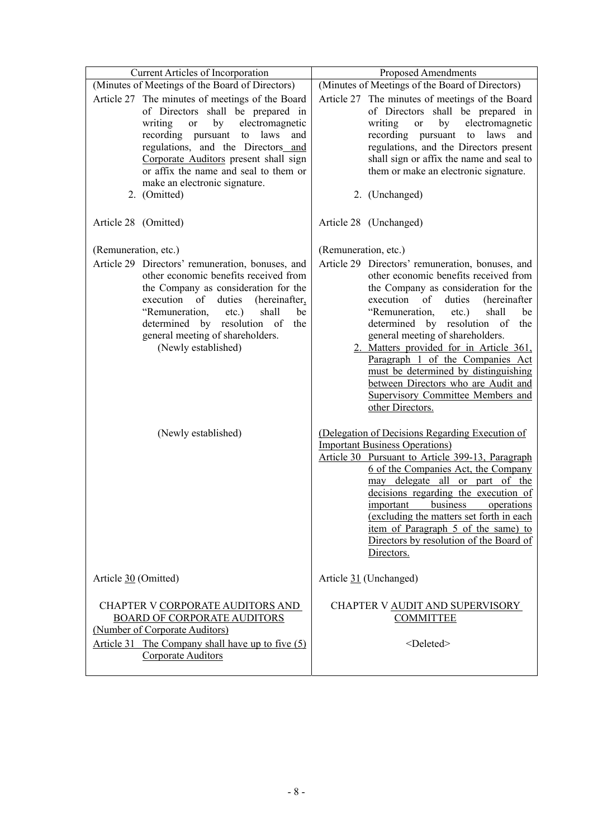| <b>Current Articles of Incorporation</b>                                                                                                                                                                                                                                                                                                            | <b>Proposed Amendments</b>                                                                                                                                                                                                                                                                                                                                                                                                                                                                                                          |  |  |
|-----------------------------------------------------------------------------------------------------------------------------------------------------------------------------------------------------------------------------------------------------------------------------------------------------------------------------------------------------|-------------------------------------------------------------------------------------------------------------------------------------------------------------------------------------------------------------------------------------------------------------------------------------------------------------------------------------------------------------------------------------------------------------------------------------------------------------------------------------------------------------------------------------|--|--|
| (Minutes of Meetings of the Board of Directors)                                                                                                                                                                                                                                                                                                     | (Minutes of Meetings of the Board of Directors)                                                                                                                                                                                                                                                                                                                                                                                                                                                                                     |  |  |
| Article 27 The minutes of meetings of the Board<br>of Directors shall be prepared in<br>by<br>electromagnetic<br>writing<br><b>or</b><br>recording pursuant to laws<br>and<br>regulations, and the Directors and<br>Corporate Auditors present shall sign<br>or affix the name and seal to them or<br>make an electronic signature.<br>2. (Omitted) | Article 27 The minutes of meetings of the Board<br>of Directors shall be prepared in<br>writing<br>by<br>electromagnetic<br><b>or</b><br>recording pursuant<br>to laws and<br>regulations, and the Directors present<br>shall sign or affix the name and seal to<br>them or make an electronic signature.<br>2. (Unchanged)                                                                                                                                                                                                         |  |  |
| Article 28 (Omitted)                                                                                                                                                                                                                                                                                                                                | Article 28 (Unchanged)                                                                                                                                                                                                                                                                                                                                                                                                                                                                                                              |  |  |
| (Remuneration, etc.)                                                                                                                                                                                                                                                                                                                                | (Remuneration, etc.)                                                                                                                                                                                                                                                                                                                                                                                                                                                                                                                |  |  |
| Article 29 Directors' remuneration, bonuses, and<br>other economic benefits received from<br>the Company as consideration for the<br>execution of<br>duties<br>(hereinafter,<br>"Remuneration,<br>shall<br>$etc.$ )<br>be<br>determined by resolution of<br>the<br>general meeting of shareholders.<br>(Newly established)                          | Article 29 Directors' remuneration, bonuses, and<br>other economic benefits received from<br>the Company as consideration for the<br>execution<br>of<br>duties<br>(hereinafter<br>"Remuneration,<br>shall<br>$etc.$ )<br>be<br>determined by resolution of<br>the<br>general meeting of shareholders.<br>2. Matters provided for in Article 361,<br>Paragraph 1 of the Companies Act<br>must be determined by distinguishing<br>between Directors who are Audit and<br><b>Supervisory Committee Members and</b><br>other Directors. |  |  |
| (Newly established)                                                                                                                                                                                                                                                                                                                                 | (Delegation of Decisions Regarding Execution of<br><b>Important Business Operations</b> )<br>Article 30 Pursuant to Article 399-13, Paragraph<br>6 of the Companies Act, the Company<br>may delegate all or part of the<br>decisions regarding the execution of<br>business<br>operations<br>important<br>(excluding the matters set forth in each<br>item of Paragraph 5 of the same) to<br>Directors by resolution of the Board of<br>Directors.                                                                                  |  |  |
| Article 30 (Omitted)                                                                                                                                                                                                                                                                                                                                | Article 31 (Unchanged)                                                                                                                                                                                                                                                                                                                                                                                                                                                                                                              |  |  |
| CHAPTER V CORPORATE AUDITORS AND<br><b>BOARD OF CORPORATE AUDITORS</b><br>(Number of Corporate Auditors)<br>Article 31 The Company shall have up to five (5)<br>Corporate Auditors                                                                                                                                                                  | CHAPTER V AUDIT AND SUPERVISORY<br><b>COMMITTEE</b><br><deleted></deleted>                                                                                                                                                                                                                                                                                                                                                                                                                                                          |  |  |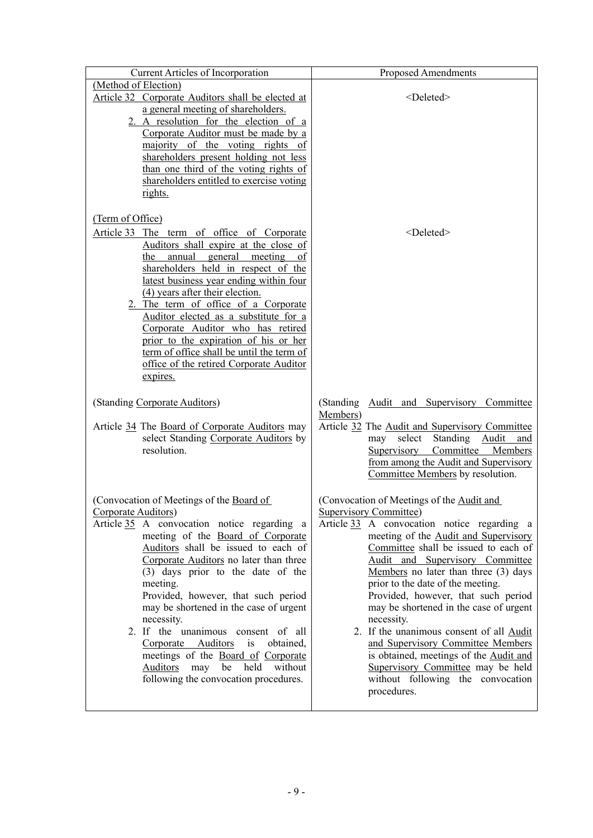| <b>Current Articles of Incorporation</b>                                                                                                                                                                                                                                                                                                                                                                                                                                                                                                                                           | <b>Proposed Amendments</b>                                                                                                                                                                                                                                                                                                                                                                                                                                                                                                                                                                                                                     |
|------------------------------------------------------------------------------------------------------------------------------------------------------------------------------------------------------------------------------------------------------------------------------------------------------------------------------------------------------------------------------------------------------------------------------------------------------------------------------------------------------------------------------------------------------------------------------------|------------------------------------------------------------------------------------------------------------------------------------------------------------------------------------------------------------------------------------------------------------------------------------------------------------------------------------------------------------------------------------------------------------------------------------------------------------------------------------------------------------------------------------------------------------------------------------------------------------------------------------------------|
| (Method of Election)<br>Article 32 Corporate Auditors shall be elected at<br>a general meeting of shareholders.<br>2. A resolution for the election of a                                                                                                                                                                                                                                                                                                                                                                                                                           | <deleted></deleted>                                                                                                                                                                                                                                                                                                                                                                                                                                                                                                                                                                                                                            |
| Corporate Auditor must be made by a<br>majority of the voting rights of<br>shareholders present holding not less<br>than one third of the voting rights of<br>shareholders entitled to exercise voting<br>rights.                                                                                                                                                                                                                                                                                                                                                                  |                                                                                                                                                                                                                                                                                                                                                                                                                                                                                                                                                                                                                                                |
| (Term of Office)<br>Article 33 The term of office of Corporate<br>Auditors shall expire at the close of<br>annual general meeting<br>the<br><sub>of</sub><br>shareholders held in respect of the<br>latest business year ending within four<br>(4) years after their election.<br>2. The term of office of a Corporate<br>Auditor elected as a substitute for a<br>Corporate Auditor who has retired<br>prior to the expiration of his or her<br>term of office shall be until the term of<br>office of the retired Corporate Auditor<br>expires.                                  | <deleted></deleted>                                                                                                                                                                                                                                                                                                                                                                                                                                                                                                                                                                                                                            |
| (Standing Corporate Auditors)<br>Article 34 The Board of Corporate Auditors may<br>select Standing Corporate Auditors by<br>resolution.                                                                                                                                                                                                                                                                                                                                                                                                                                            | (Standing Audit and Supervisory Committee<br>Members)<br>Article 32 The Audit and Supervisory Committee<br>Standing Audit<br>select<br>may<br>and<br>Committee Members<br>Supervisory<br>from among the Audit and Supervisory<br>Committee Members by resolution.                                                                                                                                                                                                                                                                                                                                                                              |
| (Convocation of Meetings of the Board of<br>Corporate Auditors)<br>Article 35 A convocation notice regarding a<br>meeting of the Board of Corporate<br>Auditors shall be issued to each of<br>Corporate Auditors no later than three<br>(3) days prior to the date of the<br>meeting.<br>Provided, however, that such period<br>may be shortened in the case of urgent<br>necessity.<br>2. If the unanimous consent of all<br>Corporate Auditors<br>is<br>obtained,<br>meetings of the Board of Corporate<br>Auditors may be held without<br>following the convocation procedures. | (Convocation of Meetings of the Audit and<br><b>Supervisory Committee)</b><br>Article 33 A convocation notice regarding a<br>meeting of the Audit and Supervisory<br>Committee shall be issued to each of<br>Audit and Supervisory Committee<br>Members no later than three $(3)$ days<br>prior to the date of the meeting.<br>Provided, however, that such period<br>may be shortened in the case of urgent<br>necessity.<br>2. If the unanimous consent of all Audit<br>and Supervisory Committee Members<br>is obtained, meetings of the Audit and<br>Supervisory Committee may be held<br>without following the convocation<br>procedures. |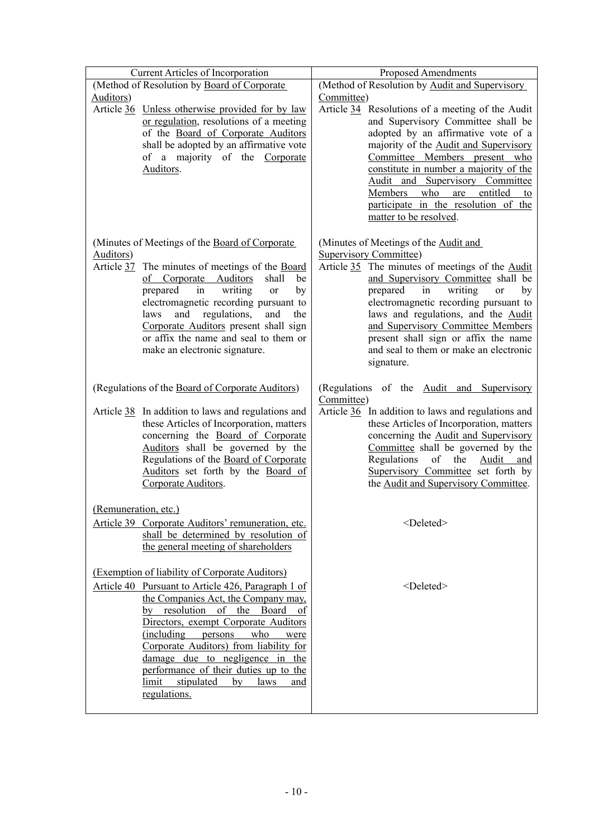| Current Articles of Incorporation                                                         | <b>Proposed Amendments</b>                                                       |
|-------------------------------------------------------------------------------------------|----------------------------------------------------------------------------------|
| (Method of Resolution by Board of Corporate                                               | (Method of Resolution by Audit and Supervisory                                   |
| Auditors)                                                                                 | Committee)                                                                       |
| Article 36 Unless otherwise provided for by law                                           | Article 34 Resolutions of a meeting of the Audit                                 |
| or regulation, resolutions of a meeting                                                   | and Supervisory Committee shall be                                               |
| of the Board of Corporate Auditors                                                        | adopted by an affirmative vote of a                                              |
| shall be adopted by an affirmative vote                                                   | majority of the <b>Audit and Supervisory</b>                                     |
| of a majority of the Corporate                                                            | Committee Members present who                                                    |
| Auditors.                                                                                 | constitute in number a majority of the                                           |
|                                                                                           | Audit and Supervisory Committee                                                  |
|                                                                                           | Members<br>who<br>entitled<br>are<br>to<br>participate in the resolution of the  |
|                                                                                           | matter to be resolved.                                                           |
|                                                                                           |                                                                                  |
|                                                                                           |                                                                                  |
| (Minutes of Meetings of the Board of Corporate                                            | (Minutes of Meetings of the Audit and                                            |
| Auditors)<br>Article 37 The minutes of meetings of the Board                              | <b>Supervisory Committee)</b><br>Article 35 The minutes of meetings of the Audit |
| of Corporate Auditors<br>shall<br>be                                                      | and Supervisory Committee shall be                                               |
| writing<br>prepared<br>by<br>in<br>or                                                     | writing<br>prepared<br><sub>or</sub><br>in<br>by                                 |
| electromagnetic recording pursuant to                                                     | electromagnetic recording pursuant to                                            |
| and<br>regulations,<br>laws<br>and<br>the                                                 | laws and regulations, and the Audit                                              |
| Corporate Auditors present shall sign                                                     | and Supervisory Committee Members                                                |
| or affix the name and seal to them or                                                     | present shall sign or affix the name                                             |
| make an electronic signature.                                                             | and seal to them or make an electronic                                           |
|                                                                                           | signature.                                                                       |
|                                                                                           |                                                                                  |
| (Regulations of the Board of Corporate Auditors)                                          | (Regulations of the Audit and Supervisory                                        |
|                                                                                           | Committee)                                                                       |
| Article 38 In addition to laws and regulations and                                        | Article 36 In addition to laws and regulations and                               |
| these Articles of Incorporation, matters                                                  | these Articles of Incorporation, matters                                         |
| concerning the Board of Corporate                                                         | concerning the Audit and Supervisory                                             |
| Auditors shall be governed by the                                                         | Committee shall be governed by the                                               |
| Regulations of the Board of Corporate                                                     | Regulations of the<br><u>Audit</u><br>and                                        |
| Auditors set forth by the Board of                                                        | Supervisory Committee set forth by                                               |
| Corporate Auditors.                                                                       | the Audit and Supervisory Committee.                                             |
| (Remuneration, etc.)                                                                      |                                                                                  |
|                                                                                           |                                                                                  |
| Article 39 Corporate Auditors' remuneration, etc.                                         | <deleted></deleted>                                                              |
| shall be determined by resolution of                                                      |                                                                                  |
| the general meeting of shareholders                                                       |                                                                                  |
| (Exemption of liability of Corporate Auditors)                                            |                                                                                  |
|                                                                                           |                                                                                  |
| Article 40 Pursuant to Article 426, Paragraph 1 of<br>the Companies Act, the Company may, | <deleted></deleted>                                                              |
| resolution<br>Board<br>of the                                                             |                                                                                  |
| by<br>οf<br>Directors, exempt Corporate Auditors                                          |                                                                                  |
| (including)<br>persons<br>who<br>were                                                     |                                                                                  |
| Corporate Auditors) from liability for                                                    |                                                                                  |
| damage due to negligence in the                                                           |                                                                                  |
| performance of their duties up to the                                                     |                                                                                  |
| limit<br>stipulated<br>by<br>laws<br>and                                                  |                                                                                  |
| regulations.                                                                              |                                                                                  |
|                                                                                           |                                                                                  |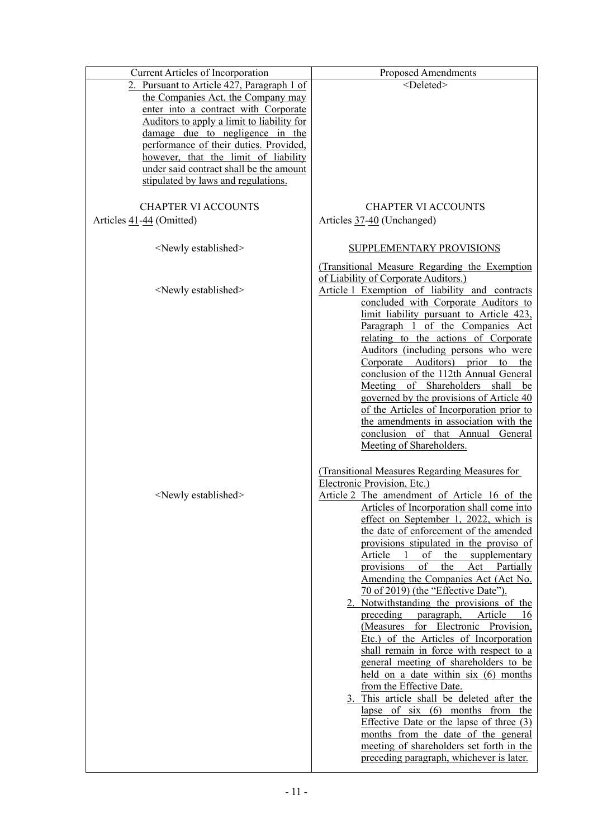| Current Articles of Incorporation          | <b>Proposed Amendments</b>                                                          |
|--------------------------------------------|-------------------------------------------------------------------------------------|
| 2. Pursuant to Article 427, Paragraph 1 of | <deleted></deleted>                                                                 |
| the Companies Act, the Company may         |                                                                                     |
| enter into a contract with Corporate       |                                                                                     |
| Auditors to apply a limit to liability for |                                                                                     |
| damage due to negligence in the            |                                                                                     |
| performance of their duties. Provided,     |                                                                                     |
| however, that the limit of liability       |                                                                                     |
| under said contract shall be the amount    |                                                                                     |
| stipulated by laws and regulations.        |                                                                                     |
| <b>CHAPTER VI ACCOUNTS</b>                 | <b>CHAPTER VI ACCOUNTS</b>                                                          |
|                                            |                                                                                     |
| Articles 41-44 (Omitted)                   | Articles 37-40 (Unchanged)                                                          |
| <newly established=""></newly>             | SUPPLEMENTARY PROVISIONS                                                            |
|                                            | (Transitional Measure Regarding the Exemption                                       |
|                                            | of Liability of Corporate Auditors.)                                                |
| <newly established=""></newly>             | Article 1 Exemption of liability and contracts                                      |
|                                            | concluded with Corporate Auditors to                                                |
|                                            | limit liability pursuant to Article 423,                                            |
|                                            | Paragraph 1 of the Companies Act                                                    |
|                                            | relating to the actions of Corporate                                                |
|                                            | Auditors (including persons who were                                                |
|                                            | Corporate Auditors) prior<br>the<br>to                                              |
|                                            | conclusion of the 112th Annual General                                              |
|                                            | Meeting of Shareholders shall<br>be                                                 |
|                                            | governed by the provisions of Article 40                                            |
|                                            | of the Articles of Incorporation prior to<br>the amendments in association with the |
|                                            | conclusion of that Annual<br>General                                                |
|                                            | Meeting of Shareholders.                                                            |
|                                            |                                                                                     |
|                                            | (Transitional Measures Regarding Measures for                                       |
|                                            | Electronic Provision, Etc.)                                                         |
| <newly established=""></newly>             | Article 2 The amendment of Article 16 of the                                        |
|                                            | Articles of Incorporation shall come into                                           |
|                                            | effect on September 1, 2022, which is                                               |
|                                            | the date of enforcement of the amended                                              |
|                                            | provisions stipulated in the proviso of                                             |
|                                            | of<br>Article 1<br>the<br>supplementary<br>provisions<br>of<br>the<br>Act Partially |
|                                            | Amending the Companies Act (Act No.                                                 |
|                                            | 70 of 2019) (the "Effective Date").                                                 |
|                                            | 2. Notwithstanding the provisions of the                                            |
|                                            | paragraph, Article<br>preceding<br>-16                                              |
|                                            | (Measures for Electronic Provision,                                                 |
|                                            | Etc.) of the Articles of Incorporation                                              |
|                                            | shall remain in force with respect to a                                             |
|                                            | general meeting of shareholders to be                                               |
|                                            | held on a date within six (6) months                                                |
|                                            | from the Effective Date.                                                            |
|                                            | 3. This article shall be deleted after the                                          |
|                                            | lapse of $six$ (6) months from the<br>Effective Date or the lapse of three $(3)$    |
|                                            | months from the date of the general                                                 |
|                                            | meeting of shareholders set forth in the                                            |
|                                            | preceding paragraph, whichever is later.                                            |
|                                            |                                                                                     |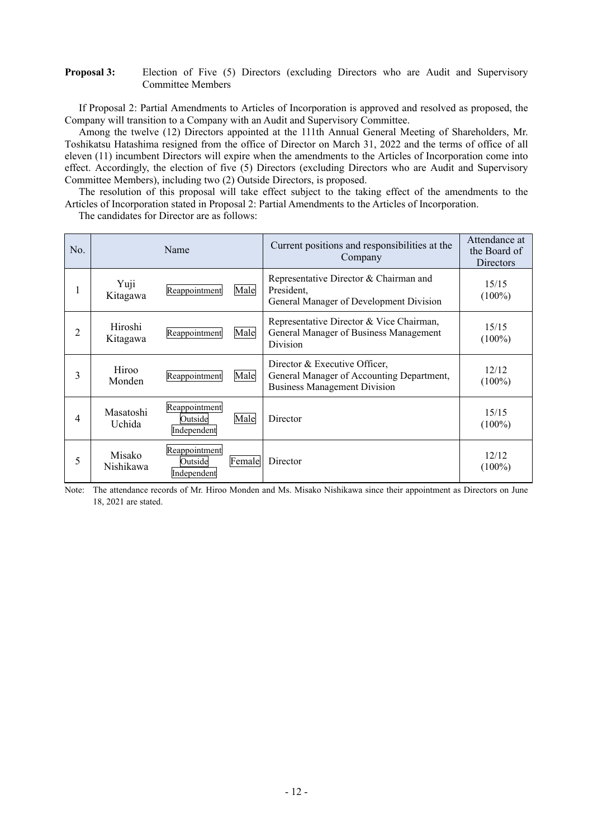## **Proposal 3:** Election of Five (5) Directors (excluding Directors who are Audit and Supervisory Committee Members

If Proposal 2: Partial Amendments to Articles of Incorporation is approved and resolved as proposed, the Company will transition to a Company with an Audit and Supervisory Committee.

Among the twelve (12) Directors appointed at the 111th Annual General Meeting of Shareholders, Mr. Toshikatsu Hatashima resigned from the office of Director on March 31, 2022 and the terms of office of all eleven (11) incumbent Directors will expire when the amendments to the Articles of Incorporation come into effect. Accordingly, the election of five (5) Directors (excluding Directors who are Audit and Supervisory Committee Members), including two (2) Outside Directors, is proposed.

The resolution of this proposal will take effect subject to the taking effect of the amendments to the Articles of Incorporation stated in Proposal 2: Partial Amendments to the Articles of Incorporation.

The candidates for Director are as follows:

| No. | Name                |                                                   | Current positions and responsibilities at the<br>Company                                                          | Attendance at<br>the Board of<br>Directors |
|-----|---------------------|---------------------------------------------------|-------------------------------------------------------------------------------------------------------------------|--------------------------------------------|
|     | Yuji<br>Kitagawa    | Reappointment<br>Male                             | Representative Director & Chairman and<br>President,<br>General Manager of Development Division                   | 15/15<br>$(100\%)$                         |
| 2   | Hiroshi<br>Kitagawa | Male<br>Reappointment                             | Representative Director & Vice Chairman,<br>General Manager of Business Management<br>Division                    | 15/15<br>$(100\%)$                         |
| 3   | Hiroo<br>Monden     | Male<br>Reappointment                             | Director & Executive Officer,<br>General Manager of Accounting Department,<br><b>Business Management Division</b> | 12/12<br>$(100\%)$                         |
| 4   | Masatoshi<br>Uchida | Reappointment<br>Male<br>Outside<br>Independent   | Director                                                                                                          | 15/15<br>$(100\%)$                         |
| 5   | Misako<br>Nishikawa | Reappointment<br>Female<br>Outside<br>Independent | Director                                                                                                          | 12/12<br>$(100\%)$                         |

Note: The attendance records of Mr. Hiroo Monden and Ms. Misako Nishikawa since their appointment as Directors on June 18, 2021 are stated.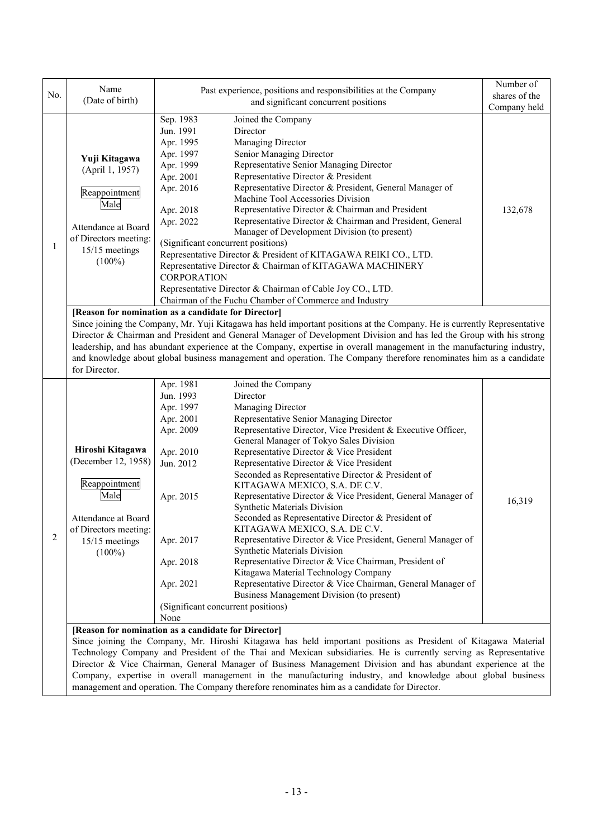|              | Name                                                                                                             | Past experience, positions and responsibilities at the Company<br>and significant concurrent positions |                                                                                                                          | Number of     |  |  |  |
|--------------|------------------------------------------------------------------------------------------------------------------|--------------------------------------------------------------------------------------------------------|--------------------------------------------------------------------------------------------------------------------------|---------------|--|--|--|
| No.          | (Date of birth)                                                                                                  |                                                                                                        |                                                                                                                          | shares of the |  |  |  |
|              |                                                                                                                  |                                                                                                        |                                                                                                                          | Company held  |  |  |  |
|              |                                                                                                                  | Sep. 1983                                                                                              | Joined the Company                                                                                                       |               |  |  |  |
|              |                                                                                                                  | Jun. 1991                                                                                              | Director                                                                                                                 |               |  |  |  |
|              |                                                                                                                  | Apr. 1995                                                                                              | Managing Director                                                                                                        |               |  |  |  |
|              | Yuji Kitagawa<br>(April 1, 1957)                                                                                 | Apr. 1997                                                                                              | Senior Managing Director                                                                                                 |               |  |  |  |
|              |                                                                                                                  | Apr. 1999                                                                                              | Representative Senior Managing Director                                                                                  |               |  |  |  |
|              |                                                                                                                  | Apr. 2001                                                                                              | Representative Director & President                                                                                      |               |  |  |  |
|              | Reappointment<br>Male                                                                                            | Apr. 2016                                                                                              | Representative Director & President, General Manager of<br>Machine Tool Accessories Division                             |               |  |  |  |
|              |                                                                                                                  | Apr. 2018                                                                                              | Representative Director & Chairman and President                                                                         | 132,678       |  |  |  |
|              |                                                                                                                  | Apr. 2022                                                                                              | Representative Director & Chairman and President, General                                                                |               |  |  |  |
|              | Attendance at Board                                                                                              |                                                                                                        | Manager of Development Division (to present)                                                                             |               |  |  |  |
| $\mathbf{1}$ | of Directors meeting:                                                                                            | (Significant concurrent positions)                                                                     |                                                                                                                          |               |  |  |  |
|              | 15/15 meetings                                                                                                   |                                                                                                        | Representative Director & President of KITAGAWA REIKI CO., LTD.                                                          |               |  |  |  |
|              | $(100\%)$                                                                                                        |                                                                                                        | Representative Director & Chairman of KITAGAWA MACHINERY                                                                 |               |  |  |  |
|              |                                                                                                                  | <b>CORPORATION</b>                                                                                     |                                                                                                                          |               |  |  |  |
|              |                                                                                                                  |                                                                                                        | Representative Director & Chairman of Cable Joy CO., LTD.                                                                |               |  |  |  |
|              |                                                                                                                  |                                                                                                        | Chairman of the Fuchu Chamber of Commerce and Industry                                                                   |               |  |  |  |
|              | [Reason for nomination as a candidate for Director]                                                              |                                                                                                        |                                                                                                                          |               |  |  |  |
|              |                                                                                                                  |                                                                                                        | Since joining the Company, Mr. Yuji Kitagawa has held important positions at the Company. He is currently Representative |               |  |  |  |
|              |                                                                                                                  |                                                                                                        | Director & Chairman and President and General Manager of Development Division and has led the Group with his strong      |               |  |  |  |
|              |                                                                                                                  |                                                                                                        | leadership, and has abundant experience at the Company, expertise in overall management in the manufacturing industry,   |               |  |  |  |
|              |                                                                                                                  |                                                                                                        | and knowledge about global business management and operation. The Company therefore renominates him as a candidate       |               |  |  |  |
|              | for Director.                                                                                                    |                                                                                                        |                                                                                                                          |               |  |  |  |
|              |                                                                                                                  |                                                                                                        |                                                                                                                          |               |  |  |  |
|              |                                                                                                                  | Apr. 1981                                                                                              | Joined the Company                                                                                                       |               |  |  |  |
|              |                                                                                                                  | Jun. 1993                                                                                              | Director                                                                                                                 |               |  |  |  |
|              | Hiroshi Kitagawa<br>(December 12, 1958)<br>Reappointment<br>Male                                                 | Apr. 1997                                                                                              | Managing Director                                                                                                        |               |  |  |  |
|              |                                                                                                                  | Apr. 2001                                                                                              | Representative Senior Managing Director                                                                                  |               |  |  |  |
|              |                                                                                                                  | Apr. 2009                                                                                              | Representative Director, Vice President & Executive Officer,                                                             |               |  |  |  |
|              |                                                                                                                  |                                                                                                        | General Manager of Tokyo Sales Division                                                                                  |               |  |  |  |
|              |                                                                                                                  | Apr. 2010                                                                                              | Representative Director & Vice President                                                                                 |               |  |  |  |
|              |                                                                                                                  | Jun. 2012                                                                                              | Representative Director & Vice President                                                                                 |               |  |  |  |
|              |                                                                                                                  |                                                                                                        | Seconded as Representative Director & President of                                                                       |               |  |  |  |
|              |                                                                                                                  |                                                                                                        | KITAGAWA MEXICO, S.A. DE C.V.                                                                                            |               |  |  |  |
|              |                                                                                                                  | Apr. 2015                                                                                              | Representative Director & Vice President, General Manager of<br>Synthetic Materials Division                             | 16,319        |  |  |  |
|              | Attendance at Board                                                                                              |                                                                                                        | Seconded as Representative Director & President of                                                                       |               |  |  |  |
|              | of Directors meeting:                                                                                            |                                                                                                        | KITAGAWA MEXICO, S.A. DE C.V.                                                                                            |               |  |  |  |
| 2            | 15/15 meetings                                                                                                   | Apr. 2017                                                                                              | Representative Director & Vice President, General Manager of                                                             |               |  |  |  |
|              | $(100\%)$                                                                                                        |                                                                                                        | Synthetic Materials Division                                                                                             |               |  |  |  |
|              |                                                                                                                  | Apr. 2018                                                                                              | Representative Director & Vice Chairman, President of                                                                    |               |  |  |  |
|              |                                                                                                                  |                                                                                                        | Kitagawa Material Technology Company                                                                                     |               |  |  |  |
|              |                                                                                                                  | Apr. 2021                                                                                              | Representative Director & Vice Chairman, General Manager of                                                              |               |  |  |  |
|              |                                                                                                                  |                                                                                                        | Business Management Division (to present)                                                                                |               |  |  |  |
|              |                                                                                                                  | (Significant concurrent positions)                                                                     |                                                                                                                          |               |  |  |  |
|              | None                                                                                                             |                                                                                                        |                                                                                                                          |               |  |  |  |
|              | [Reason for nomination as a candidate for Director]                                                              |                                                                                                        |                                                                                                                          |               |  |  |  |
|              | Since joining the Company, Mr. Hiroshi Kitagawa has held important positions as President of Kitagawa Material   |                                                                                                        |                                                                                                                          |               |  |  |  |
|              | Technology Company and President of the Thai and Mexican subsidiaries. He is currently serving as Representative |                                                                                                        |                                                                                                                          |               |  |  |  |
|              | Director & Vice Chairman, General Manager of Business Management Division and has abundant experience at the     |                                                                                                        |                                                                                                                          |               |  |  |  |
|              |                                                                                                                  |                                                                                                        | Company, expertise in overall management in the manufacturing industry, and knowledge about global business              |               |  |  |  |
|              |                                                                                                                  |                                                                                                        | management and operation. The Company therefore renominates him as a candidate for Director.                             |               |  |  |  |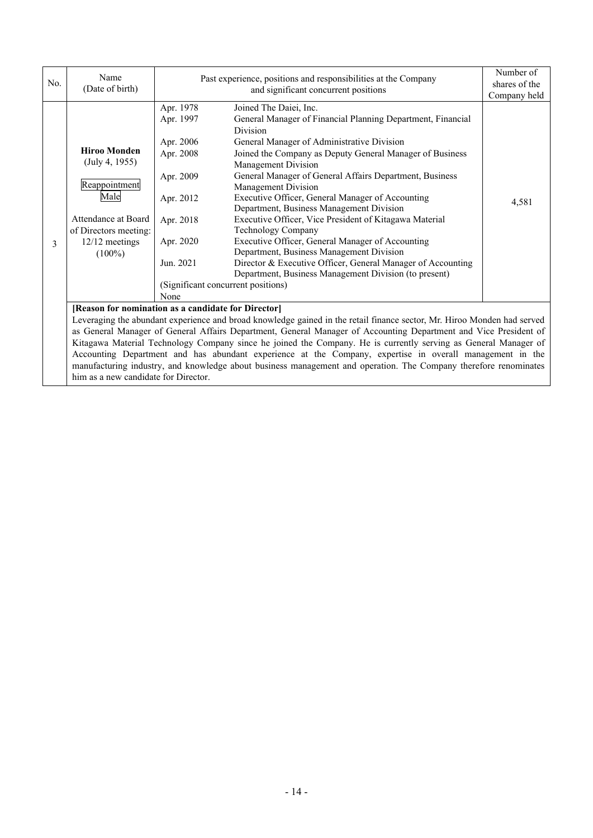| No.                                                                                                              | Name                                                                                                            | Past experience, positions and responsibilities at the Company                                                          |                                                                                                                                                                                                                                                                                                                                    | Number of<br>shares of the |  |  |
|------------------------------------------------------------------------------------------------------------------|-----------------------------------------------------------------------------------------------------------------|-------------------------------------------------------------------------------------------------------------------------|------------------------------------------------------------------------------------------------------------------------------------------------------------------------------------------------------------------------------------------------------------------------------------------------------------------------------------|----------------------------|--|--|
|                                                                                                                  | (Date of birth)                                                                                                 |                                                                                                                         | and significant concurrent positions                                                                                                                                                                                                                                                                                               | Company held               |  |  |
|                                                                                                                  | <b>Hiroo Monden</b><br>(July 4, 1955)<br>Reappointment                                                          | Apr. 1978<br>Apr. 1997<br>Apr. 2006<br>Apr. 2008<br>Apr. 2009                                                           | Joined The Daiei, Inc.<br>General Manager of Financial Planning Department, Financial<br><b>Division</b><br>General Manager of Administrative Division<br>Joined the Company as Deputy General Manager of Business<br><b>Management Division</b><br>General Manager of General Affairs Department, Business<br>Management Division |                            |  |  |
| 3                                                                                                                | Male<br>Attendance at Board<br>of Directors meeting:<br>12/12 meetings<br>$(100\%)$                             | Apr. 2012<br>Apr. 2018<br>Apr. 2020                                                                                     | Executive Officer, General Manager of Accounting<br>Department, Business Management Division<br>Executive Officer, Vice President of Kitagawa Material<br>Technology Company<br>Executive Officer, General Manager of Accounting<br>Department, Business Management Division                                                       | 4,581                      |  |  |
|                                                                                                                  |                                                                                                                 | Jun. 2021<br>(Significant concurrent positions)<br>None                                                                 | Director & Executive Officer, General Manager of Accounting<br>Department, Business Management Division (to present)                                                                                                                                                                                                               |                            |  |  |
|                                                                                                                  |                                                                                                                 | [Reason for nomination as a candidate for Director]                                                                     |                                                                                                                                                                                                                                                                                                                                    |                            |  |  |
|                                                                                                                  |                                                                                                                 | Leveraging the abundant experience and broad knowledge gained in the retail finance sector, Mr. Hiroo Monden had served |                                                                                                                                                                                                                                                                                                                                    |                            |  |  |
| as General Manager of General Affairs Department, General Manager of Accounting Department and Vice President of |                                                                                                                 |                                                                                                                         |                                                                                                                                                                                                                                                                                                                                    |                            |  |  |
|                                                                                                                  | Kitagawa Material Technology Company since he joined the Company. He is currently serving as General Manager of |                                                                                                                         |                                                                                                                                                                                                                                                                                                                                    |                            |  |  |
|                                                                                                                  | Accounting Department and has abundant experience at the Company, expertise in overall management in the        |                                                                                                                         |                                                                                                                                                                                                                                                                                                                                    |                            |  |  |

manufacturing industry, and knowledge about business management and operation. The Company therefore renominates

him as a new candidate for Director.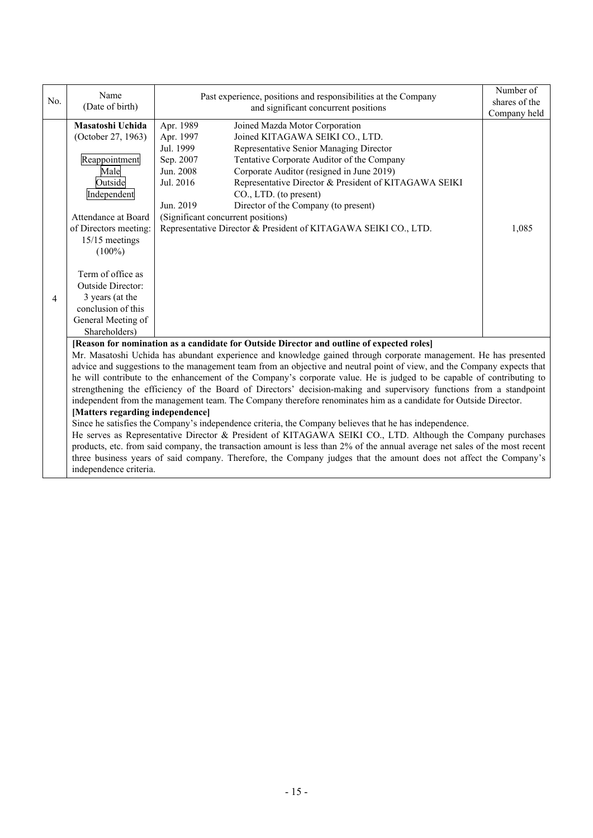| No. | Name<br>(Date of birth)                                                                                                                                                                                                                                                                                                                                                                                                                                                                                                                                                                                                         | Past experience, positions and responsibilities at the Company<br>and significant concurrent positions                                                                                                                                                                                                                                                                                                                                                                                                                                 | Number of<br>shares of the<br>Company held |  |  |
|-----|---------------------------------------------------------------------------------------------------------------------------------------------------------------------------------------------------------------------------------------------------------------------------------------------------------------------------------------------------------------------------------------------------------------------------------------------------------------------------------------------------------------------------------------------------------------------------------------------------------------------------------|----------------------------------------------------------------------------------------------------------------------------------------------------------------------------------------------------------------------------------------------------------------------------------------------------------------------------------------------------------------------------------------------------------------------------------------------------------------------------------------------------------------------------------------|--------------------------------------------|--|--|
| 4   | Masatoshi Uchida<br>(October 27, 1963)<br>Reappointment<br>Male<br>Outside<br>Independent<br>Attendance at Board<br>of Directors meeting:<br>15/15 meetings<br>$(100\%)$<br>Term of office as<br>Outside Director:<br>3 years (at the<br>conclusion of this<br>General Meeting of                                                                                                                                                                                                                                                                                                                                               | Apr. 1989<br>Joined Mazda Motor Corporation<br>Apr. 1997<br>Joined KITAGAWA SEIKI CO., LTD.<br>Jul. 1999<br>Representative Senior Managing Director<br>Sep. 2007<br>Tentative Corporate Auditor of the Company<br>Corporate Auditor (resigned in June 2019)<br>Jun. 2008<br>Jul. 2016<br>Representative Director & President of KITAGAWA SEIKI<br>CO., LTD. (to present)<br>Director of the Company (to present)<br>Jun. 2019<br>(Significant concurrent positions)<br>Representative Director & President of KITAGAWA SEIKI CO., LTD. | 1,085                                      |  |  |
|     | [Reason for nomination as a candidate for Outside Director and outline of expected roles]<br>Mr. Masatoshi Uchida has abundant experience and knowledge gained through corporate management. He has presented<br>advice and suggestions to the management team from an objective and neutral point of view, and the Company expects that<br>he will contribute to the enhancement of the Company's corporate value. He is judged to be capable of contributing to                                                                                                                                                               |                                                                                                                                                                                                                                                                                                                                                                                                                                                                                                                                        |                                            |  |  |
|     | strengthening the efficiency of the Board of Directors' decision-making and supervisory functions from a standpoint<br>independent from the management team. The Company therefore renominates him as a candidate for Outside Director.<br>[Matters regarding independence]<br>Since he satisfies the Company's independence criteria, the Company believes that he has independence.<br>He serves as Representative Director & President of KITAGAWA SEIKI CO., LTD. Although the Company purchases<br>products at from said company the transaction emount is loss than 7% of the ennual everges not soles of the most recent |                                                                                                                                                                                                                                                                                                                                                                                                                                                                                                                                        |                                            |  |  |

products, etc. from said company, the transaction amount is less than 2% of the annual average net sales of the most recent three business years of said company. Therefore, the Company judges that the amount does not affect the Company's independence criteria.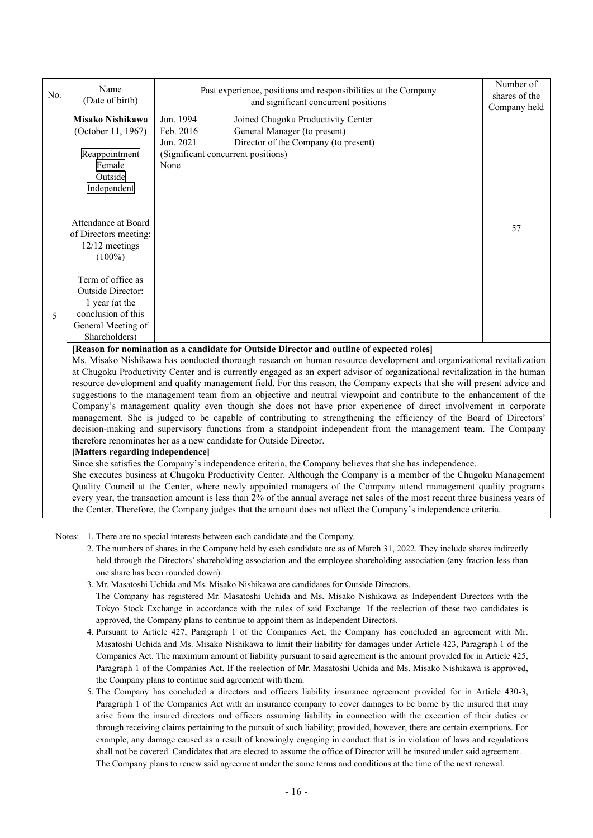|     | Name                                                                                                                       |                                                                                                                     | Number of     |  |  |  |  |  |
|-----|----------------------------------------------------------------------------------------------------------------------------|---------------------------------------------------------------------------------------------------------------------|---------------|--|--|--|--|--|
| No. | (Date of birth)                                                                                                            | Past experience, positions and responsibilities at the Company                                                      | shares of the |  |  |  |  |  |
|     |                                                                                                                            | and significant concurrent positions                                                                                | Company held  |  |  |  |  |  |
|     | Misako Nishikawa                                                                                                           | Jun. 1994<br>Joined Chugoku Productivity Center                                                                     |               |  |  |  |  |  |
|     | (October 11, 1967)                                                                                                         | Feb. 2016<br>General Manager (to present)                                                                           |               |  |  |  |  |  |
|     |                                                                                                                            | Director of the Company (to present)<br>Jun. 2021                                                                   |               |  |  |  |  |  |
|     | Reappointment                                                                                                              | (Significant concurrent positions)                                                                                  |               |  |  |  |  |  |
|     | Female                                                                                                                     | None                                                                                                                |               |  |  |  |  |  |
|     | Outside                                                                                                                    |                                                                                                                     |               |  |  |  |  |  |
|     | Independent                                                                                                                |                                                                                                                     |               |  |  |  |  |  |
|     |                                                                                                                            |                                                                                                                     |               |  |  |  |  |  |
|     |                                                                                                                            |                                                                                                                     |               |  |  |  |  |  |
|     | Attendance at Board                                                                                                        |                                                                                                                     |               |  |  |  |  |  |
|     | of Directors meeting:                                                                                                      |                                                                                                                     | 57            |  |  |  |  |  |
|     | 12/12 meetings                                                                                                             |                                                                                                                     |               |  |  |  |  |  |
|     | $(100\%)$                                                                                                                  |                                                                                                                     |               |  |  |  |  |  |
|     |                                                                                                                            |                                                                                                                     |               |  |  |  |  |  |
|     | Term of office as                                                                                                          |                                                                                                                     |               |  |  |  |  |  |
|     | Outside Director:                                                                                                          |                                                                                                                     |               |  |  |  |  |  |
|     | 1 year (at the                                                                                                             |                                                                                                                     |               |  |  |  |  |  |
| 5   | conclusion of this                                                                                                         |                                                                                                                     |               |  |  |  |  |  |
|     | General Meeting of                                                                                                         |                                                                                                                     |               |  |  |  |  |  |
|     | Shareholders)                                                                                                              |                                                                                                                     |               |  |  |  |  |  |
|     | [Reason for nomination as a candidate for Outside Director and outline of expected roles]                                  |                                                                                                                     |               |  |  |  |  |  |
|     | Ms. Misako Nishikawa has conducted thorough research on human resource development and organizational revitalization       |                                                                                                                     |               |  |  |  |  |  |
|     | at Chugoku Productivity Center and is currently engaged as an expert advisor of organizational revitalization in the human |                                                                                                                     |               |  |  |  |  |  |
|     | resource development and quality management field. For this reason, the Company expects that she will present advice and   |                                                                                                                     |               |  |  |  |  |  |
|     |                                                                                                                            | suggestions to the management team from an objective and neutral viewpoint and contribute to the enhancement of the |               |  |  |  |  |  |
|     |                                                                                                                            | Company's management quality even though she does not have prior experience of direct involvement in corporate      |               |  |  |  |  |  |
|     |                                                                                                                            | management. She is judged to be capable of contributing to strengthening the efficiency of the Board of Directors'  |               |  |  |  |  |  |
|     |                                                                                                                            | decision-making and supervisory functions from a standpoint independent from the management team. The Company       |               |  |  |  |  |  |
|     |                                                                                                                            | therefore renominates her as a new candidate for Outside Director.                                                  |               |  |  |  |  |  |
|     | [Matters regarding independence]                                                                                           |                                                                                                                     |               |  |  |  |  |  |
|     |                                                                                                                            | Since she satisfies the Company's independence criteria, the Company believes that she has independence.            |               |  |  |  |  |  |
|     |                                                                                                                            | She executes business at Chugoku Productivity Center. Although the Company is a member of the Chugoku Management    |               |  |  |  |  |  |
|     |                                                                                                                            | Quality Council at the Center, where newly appointed managers of the Company attend management quality programs     |               |  |  |  |  |  |

Notes: 1. There are no special interests between each candidate and the Company.

2. The numbers of shares in the Company held by each candidate are as of March 31, 2022. They include shares indirectly held through the Directors' shareholding association and the employee shareholding association (any fraction less than one share has been rounded down).

every year, the transaction amount is less than 2% of the annual average net sales of the most recent three business years of

the Center. Therefore, the Company judges that the amount does not affect the Company's independence criteria.

- 3. Mr. Masatoshi Uchida and Ms. Misako Nishikawa are candidates for Outside Directors. The Company has registered Mr. Masatoshi Uchida and Ms. Misako Nishikawa as Independent Directors with the Tokyo Stock Exchange in accordance with the rules of said Exchange. If the reelection of these two candidates is approved, the Company plans to continue to appoint them as Independent Directors.
- 4. Pursuant to Article 427, Paragraph 1 of the Companies Act, the Company has concluded an agreement with Mr. Masatoshi Uchida and Ms. Misako Nishikawa to limit their liability for damages under Article 423, Paragraph 1 of the Companies Act. The maximum amount of liability pursuant to said agreement is the amount provided for in Article 425, Paragraph 1 of the Companies Act. If the reelection of Mr. Masatoshi Uchida and Ms. Misako Nishikawa is approved, the Company plans to continue said agreement with them.
- 5. The Company has concluded a directors and officers liability insurance agreement provided for in Article 430-3, Paragraph 1 of the Companies Act with an insurance company to cover damages to be borne by the insured that may arise from the insured directors and officers assuming liability in connection with the execution of their duties or through receiving claims pertaining to the pursuit of such liability; provided, however, there are certain exemptions. For example, any damage caused as a result of knowingly engaging in conduct that is in violation of laws and regulations shall not be covered. Candidates that are elected to assume the office of Director will be insured under said agreement. The Company plans to renew said agreement under the same terms and conditions at the time of the next renewal.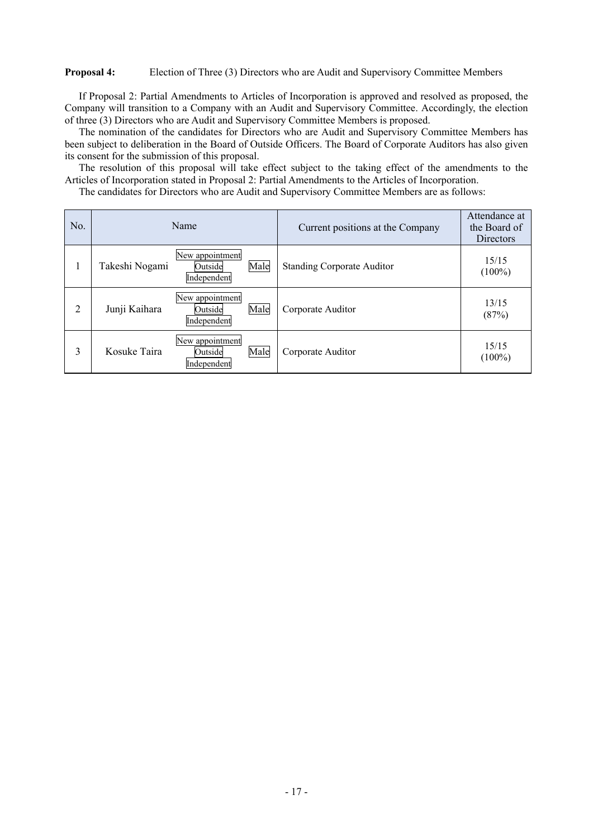## **Proposal 4:** Election of Three (3) Directors who are Audit and Supervisory Committee Members

If Proposal 2: Partial Amendments to Articles of Incorporation is approved and resolved as proposed, the Company will transition to a Company with an Audit and Supervisory Committee. Accordingly, the election of three (3) Directors who are Audit and Supervisory Committee Members is proposed.

The nomination of the candidates for Directors who are Audit and Supervisory Committee Members has been subject to deliberation in the Board of Outside Officers. The Board of Corporate Auditors has also given its consent for the submission of this proposal.

The resolution of this proposal will take effect subject to the taking effect of the amendments to the Articles of Incorporation stated in Proposal 2: Partial Amendments to the Articles of Incorporation.

The candidates for Directors who are Audit and Supervisory Committee Members are as follows:

| No. | Name           |                                           |      | Current positions at the Company  | Attendance at<br>the Board of<br><b>Directors</b> |
|-----|----------------|-------------------------------------------|------|-----------------------------------|---------------------------------------------------|
|     | Takeshi Nogami | New appointment<br>Outside<br>Independent | Male | <b>Standing Corporate Auditor</b> | 15/15<br>$(100\%)$                                |
| 2   | Junji Kaihara  | New appointment<br>Outside<br>Independent | Male | Corporate Auditor                 | 13/15<br>(87%)                                    |
| 3   | Kosuke Taira   | New appointment<br>Outside<br>Independent | Male | Corporate Auditor                 | 15/15<br>$(100\%)$                                |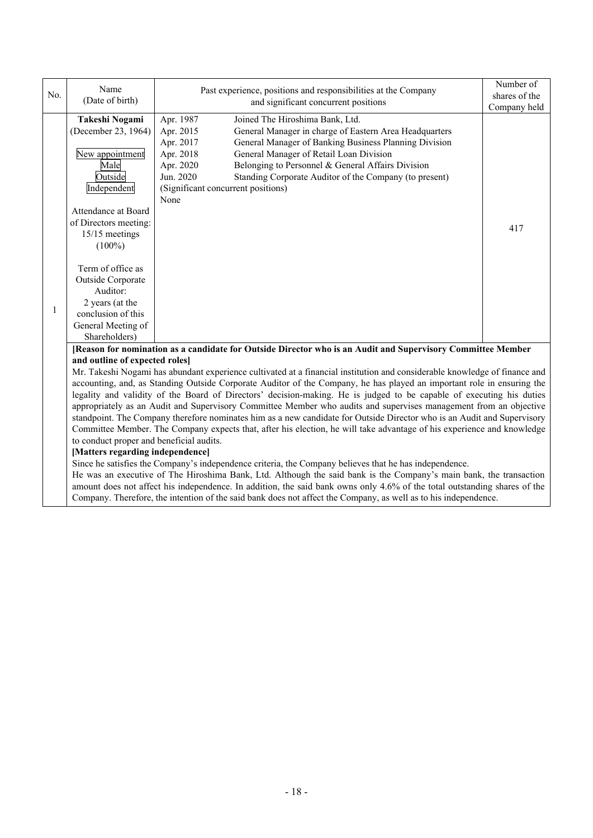|                                                                                                                        | Name                                                                                                                       |                                                                                                             | Number of     |  |  |  |  |
|------------------------------------------------------------------------------------------------------------------------|----------------------------------------------------------------------------------------------------------------------------|-------------------------------------------------------------------------------------------------------------|---------------|--|--|--|--|
| No.                                                                                                                    | (Date of birth)                                                                                                            | Past experience, positions and responsibilities at the Company                                              | shares of the |  |  |  |  |
|                                                                                                                        |                                                                                                                            | and significant concurrent positions                                                                        | Company held  |  |  |  |  |
|                                                                                                                        | Takeshi Nogami                                                                                                             | Apr. 1987<br>Joined The Hiroshima Bank, Ltd.                                                                |               |  |  |  |  |
|                                                                                                                        | (December 23, 1964)                                                                                                        | Apr. 2015<br>General Manager in charge of Eastern Area Headquarters                                         |               |  |  |  |  |
|                                                                                                                        |                                                                                                                            | General Manager of Banking Business Planning Division<br>Apr. 2017                                          |               |  |  |  |  |
|                                                                                                                        | New appointment                                                                                                            | Apr. 2018<br>General Manager of Retail Loan Division                                                        |               |  |  |  |  |
|                                                                                                                        | Male                                                                                                                       | Belonging to Personnel & General Affairs Division<br>Apr. 2020                                              |               |  |  |  |  |
|                                                                                                                        | Outside                                                                                                                    | Jun. 2020<br>Standing Corporate Auditor of the Company (to present)                                         |               |  |  |  |  |
|                                                                                                                        | Independent                                                                                                                | (Significant concurrent positions)                                                                          |               |  |  |  |  |
|                                                                                                                        |                                                                                                                            | None                                                                                                        |               |  |  |  |  |
|                                                                                                                        | Attendance at Board                                                                                                        |                                                                                                             |               |  |  |  |  |
|                                                                                                                        | of Directors meeting:                                                                                                      |                                                                                                             | 417           |  |  |  |  |
|                                                                                                                        | 15/15 meetings                                                                                                             |                                                                                                             |               |  |  |  |  |
|                                                                                                                        | $(100\%)$                                                                                                                  |                                                                                                             |               |  |  |  |  |
|                                                                                                                        |                                                                                                                            |                                                                                                             |               |  |  |  |  |
|                                                                                                                        | Term of office as                                                                                                          |                                                                                                             |               |  |  |  |  |
|                                                                                                                        | Outside Corporate                                                                                                          |                                                                                                             |               |  |  |  |  |
|                                                                                                                        | Auditor:                                                                                                                   |                                                                                                             |               |  |  |  |  |
|                                                                                                                        | 2 years (at the                                                                                                            |                                                                                                             |               |  |  |  |  |
| 1                                                                                                                      | conclusion of this                                                                                                         |                                                                                                             |               |  |  |  |  |
|                                                                                                                        | General Meeting of                                                                                                         |                                                                                                             |               |  |  |  |  |
|                                                                                                                        | Shareholders)                                                                                                              |                                                                                                             |               |  |  |  |  |
|                                                                                                                        |                                                                                                                            | [Reason for nomination as a candidate for Outside Director who is an Audit and Supervisory Committee Member |               |  |  |  |  |
|                                                                                                                        | and outline of expected roles]                                                                                             |                                                                                                             |               |  |  |  |  |
|                                                                                                                        | Mr. Takeshi Nogami has abundant experience cultivated at a financial institution and considerable knowledge of finance and |                                                                                                             |               |  |  |  |  |
|                                                                                                                        | accounting, and, as Standing Outside Corporate Auditor of the Company, he has played an important role in ensuring the     |                                                                                                             |               |  |  |  |  |
|                                                                                                                        | legality and validity of the Board of Directors' decision-making. He is judged to be capable of executing his duties       |                                                                                                             |               |  |  |  |  |
|                                                                                                                        | appropriately as an Audit and Supervisory Committee Member who audits and supervises management from an objective          |                                                                                                             |               |  |  |  |  |
|                                                                                                                        | standpoint. The Company therefore nominates him as a new candidate for Outside Director who is an Audit and Supervisory    |                                                                                                             |               |  |  |  |  |
| Committee Member. The Company expects that, after his election, he will take advantage of his experience and knowledge |                                                                                                                            |                                                                                                             |               |  |  |  |  |
| to conduct proper and beneficial audits.                                                                               |                                                                                                                            |                                                                                                             |               |  |  |  |  |
|                                                                                                                        | [Matters regarding independence]                                                                                           |                                                                                                             |               |  |  |  |  |
|                                                                                                                        | Since he satisfies the Company's independence criteria, the Company believes that he has independence.                     |                                                                                                             |               |  |  |  |  |
|                                                                                                                        | He was an executive of The Hiroshima Bank, Ltd. Although the said bank is the Company's main bank, the transaction         |                                                                                                             |               |  |  |  |  |

amount does not affect his independence. In addition, the said bank owns only 4.6% of the total outstanding shares of the Company. Therefore, the intention of the said bank does not affect the Company, as well as to his independence.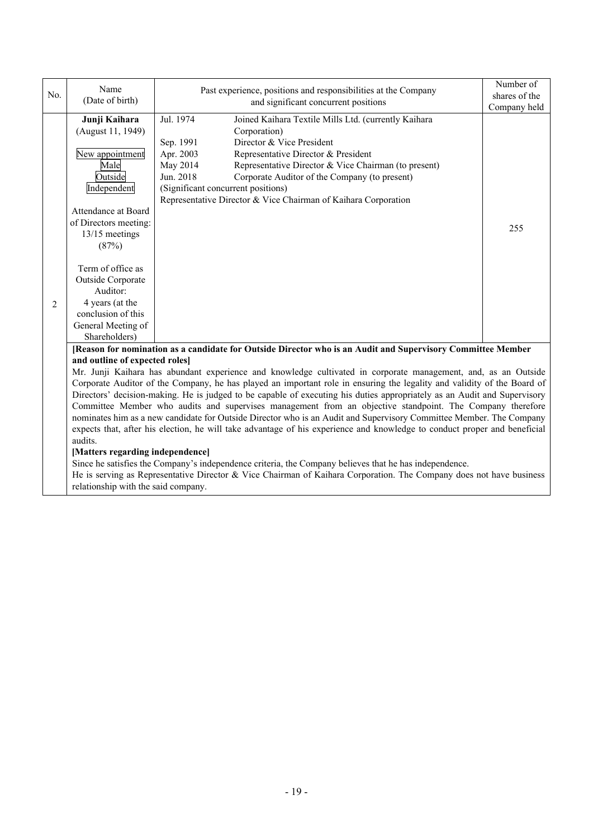|                | Name                                                                                                                                                                                                                                                                                                     |                                                                                                                                                                                                                                                                                                                                                                                                                           | Number of     |  |  |  |  |
|----------------|----------------------------------------------------------------------------------------------------------------------------------------------------------------------------------------------------------------------------------------------------------------------------------------------------------|---------------------------------------------------------------------------------------------------------------------------------------------------------------------------------------------------------------------------------------------------------------------------------------------------------------------------------------------------------------------------------------------------------------------------|---------------|--|--|--|--|
| No.            | (Date of birth)                                                                                                                                                                                                                                                                                          | Past experience, positions and responsibilities at the Company                                                                                                                                                                                                                                                                                                                                                            | shares of the |  |  |  |  |
|                |                                                                                                                                                                                                                                                                                                          | and significant concurrent positions                                                                                                                                                                                                                                                                                                                                                                                      | Company held  |  |  |  |  |
| $\overline{2}$ | Junji Kaihara<br>(August 11, 1949)<br>New appointment<br>Male<br>Outside<br>Independent<br>Attendance at Board<br>of Directors meeting:<br>13/15 meetings<br>(87%)<br>Term of office as<br>Outside Corporate<br>Auditor:<br>4 years (at the<br>conclusion of this<br>General Meeting of<br>Shareholders) | Jul. 1974<br>Joined Kaihara Textile Mills Ltd. (currently Kaihara<br>Corporation)<br>Director & Vice President<br>Sep. 1991<br>Apr. 2003<br>Representative Director & President<br>Representative Director & Vice Chairman (to present)<br>May 2014<br>Jun. 2018<br>Corporate Auditor of the Company (to present)<br>(Significant concurrent positions)<br>Representative Director & Vice Chairman of Kaihara Corporation | 255           |  |  |  |  |
|                | [Reason for nomination as a candidate for Outside Director who is an Audit and Supervisory Committee Member                                                                                                                                                                                              |                                                                                                                                                                                                                                                                                                                                                                                                                           |               |  |  |  |  |
|                | and outline of expected roles]                                                                                                                                                                                                                                                                           |                                                                                                                                                                                                                                                                                                                                                                                                                           |               |  |  |  |  |
|                | Mr. Junji Kaihara has abundant experience and knowledge cultivated in corporate management, and, as an Outside                                                                                                                                                                                           |                                                                                                                                                                                                                                                                                                                                                                                                                           |               |  |  |  |  |
|                | Corporate Auditor of the Company, he has played an important role in ensuring the legality and validity of the Board of                                                                                                                                                                                  |                                                                                                                                                                                                                                                                                                                                                                                                                           |               |  |  |  |  |
|                | Directors' decision-making. He is judged to be capable of executing his duties appropriately as an Audit and Supervisory                                                                                                                                                                                 |                                                                                                                                                                                                                                                                                                                                                                                                                           |               |  |  |  |  |
|                |                                                                                                                                                                                                                                                                                                          | Committee Member who audits and supervises management from an objective standpoint. The Company therefore                                                                                                                                                                                                                                                                                                                 |               |  |  |  |  |
|                | nominates him as a new candidate for Outside Director who is an Audit and Supervisory Committee Member. The Company                                                                                                                                                                                      |                                                                                                                                                                                                                                                                                                                                                                                                                           |               |  |  |  |  |
|                | expects that, after his election, he will take advantage of his experience and knowledge to conduct proper and beneficial<br>audits.                                                                                                                                                                     |                                                                                                                                                                                                                                                                                                                                                                                                                           |               |  |  |  |  |
|                | [Matters regarding independence]                                                                                                                                                                                                                                                                         |                                                                                                                                                                                                                                                                                                                                                                                                                           |               |  |  |  |  |
|                |                                                                                                                                                                                                                                                                                                          | Since he satisfies the Company's independence criteria, the Company believes that he has independence.                                                                                                                                                                                                                                                                                                                    |               |  |  |  |  |

He is serving as Representative Director & Vice Chairman of Kaihara Corporation. The Company does not have business relationship with the said company.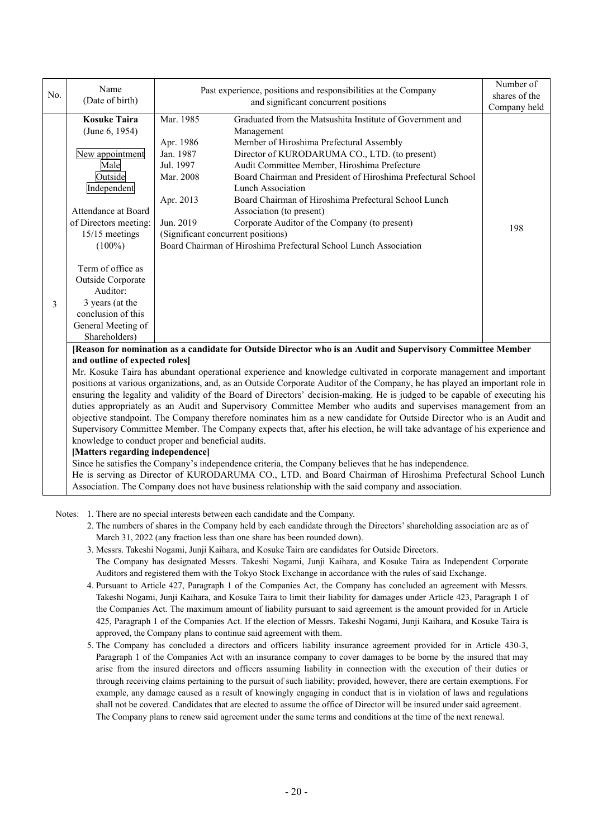|     | Name                                                                                                                                                                                                                                         |                                    |                                                                                                                             | Number of     |  |  |
|-----|----------------------------------------------------------------------------------------------------------------------------------------------------------------------------------------------------------------------------------------------|------------------------------------|-----------------------------------------------------------------------------------------------------------------------------|---------------|--|--|
| No. | (Date of birth)                                                                                                                                                                                                                              |                                    | Past experience, positions and responsibilities at the Company<br>and significant concurrent positions                      | shares of the |  |  |
|     |                                                                                                                                                                                                                                              |                                    | Company held                                                                                                                |               |  |  |
|     | <b>Kosuke Taira</b>                                                                                                                                                                                                                          | Mar. 1985                          | Graduated from the Matsushita Institute of Government and                                                                   |               |  |  |
|     | (June 6, 1954)                                                                                                                                                                                                                               | Management                         |                                                                                                                             |               |  |  |
|     |                                                                                                                                                                                                                                              | Apr. 1986                          | Member of Hiroshima Prefectural Assembly                                                                                    |               |  |  |
|     | New appointment                                                                                                                                                                                                                              | Jan. 1987                          | Director of KURODARUMA CO., LTD. (to present)                                                                               |               |  |  |
|     | Male                                                                                                                                                                                                                                         | Jul. 1997                          | Audit Committee Member, Hiroshima Prefecture                                                                                |               |  |  |
|     | Outside                                                                                                                                                                                                                                      | Mar. 2008                          | Board Chairman and President of Hiroshima Prefectural School                                                                |               |  |  |
|     | Independent                                                                                                                                                                                                                                  |                                    | <b>Lunch Association</b>                                                                                                    |               |  |  |
|     |                                                                                                                                                                                                                                              | Apr. 2013                          | Board Chairman of Hiroshima Prefectural School Lunch                                                                        |               |  |  |
|     | Attendance at Board                                                                                                                                                                                                                          |                                    | Association (to present)                                                                                                    |               |  |  |
|     | of Directors meeting:                                                                                                                                                                                                                        | Jun. 2019                          | Corporate Auditor of the Company (to present)                                                                               | 198           |  |  |
|     | 15/15 meetings                                                                                                                                                                                                                               | (Significant concurrent positions) |                                                                                                                             |               |  |  |
|     | $(100\%)$                                                                                                                                                                                                                                    |                                    | Board Chairman of Hiroshima Prefectural School Lunch Association                                                            |               |  |  |
|     |                                                                                                                                                                                                                                              |                                    |                                                                                                                             |               |  |  |
|     | Term of office as                                                                                                                                                                                                                            |                                    |                                                                                                                             |               |  |  |
|     | Outside Corporate                                                                                                                                                                                                                            |                                    |                                                                                                                             |               |  |  |
|     | Auditor:                                                                                                                                                                                                                                     |                                    |                                                                                                                             |               |  |  |
| 3   | 3 years (at the                                                                                                                                                                                                                              |                                    |                                                                                                                             |               |  |  |
|     | conclusion of this                                                                                                                                                                                                                           |                                    |                                                                                                                             |               |  |  |
|     | General Meeting of                                                                                                                                                                                                                           |                                    |                                                                                                                             |               |  |  |
|     | Shareholders)                                                                                                                                                                                                                                |                                    |                                                                                                                             |               |  |  |
|     |                                                                                                                                                                                                                                              |                                    | [Reason for nomination as a candidate for Outside Director who is an Audit and Supervisory Committee Member                 |               |  |  |
|     | and outline of expected roles]                                                                                                                                                                                                               |                                    |                                                                                                                             |               |  |  |
|     | Mr. Kosuke Taira has abundant operational experience and knowledge cultivated in corporate management and important                                                                                                                          |                                    |                                                                                                                             |               |  |  |
|     |                                                                                                                                                                                                                                              |                                    | positions at various organizations, and, as an Outside Corporate Auditor of the Company, he has played an important role in |               |  |  |
|     | ensuring the legality and validity of the Board of Directors' decision-making. He is judged to be capable of executing his<br>duties appropriately as an Audit and Supervisory Committee Member who audits and supervises management from an |                                    |                                                                                                                             |               |  |  |
|     |                                                                                                                                                                                                                                              |                                    |                                                                                                                             |               |  |  |
|     | objective standpoint. The Company therefore nominates him as a new candidate for Outside Director who is an Audit and                                                                                                                        |                                    |                                                                                                                             |               |  |  |
|     | Supervisory Committee Member. The Company expects that, after his election, he will take advantage of his experience and                                                                                                                     |                                    |                                                                                                                             |               |  |  |
|     | knowledge to conduct proper and beneficial audits.                                                                                                                                                                                           |                                    |                                                                                                                             |               |  |  |
|     | [Matters regarding independence]                                                                                                                                                                                                             |                                    |                                                                                                                             |               |  |  |
|     |                                                                                                                                                                                                                                              |                                    | Since he satisfies the Company's independence criteria, the Company believes that he has independence.                      |               |  |  |
|     | He is serving as Director of KURODARUMA CO., LTD. and Board Chairman of Hiroshima Prefectural School Lunch                                                                                                                                   |                                    |                                                                                                                             |               |  |  |

Association. The Company does not have business relationship with the said company and association.

Notes: 1. There are no special interests between each candidate and the Company.

- 2. The numbers of shares in the Company held by each candidate through the Directors' shareholding association are as of March 31, 2022 (any fraction less than one share has been rounded down).
- 3. Messrs. Takeshi Nogami, Junji Kaihara, and Kosuke Taira are candidates for Outside Directors.

 The Company has designated Messrs. Takeshi Nogami, Junji Kaihara, and Kosuke Taira as Independent Corporate Auditors and registered them with the Tokyo Stock Exchange in accordance with the rules of said Exchange.

- 4. Pursuant to Article 427, Paragraph 1 of the Companies Act, the Company has concluded an agreement with Messrs. Takeshi Nogami, Junji Kaihara, and Kosuke Taira to limit their liability for damages under Article 423, Paragraph 1 of the Companies Act. The maximum amount of liability pursuant to said agreement is the amount provided for in Article 425, Paragraph 1 of the Companies Act. If the election of Messrs. Takeshi Nogami, Junji Kaihara, and Kosuke Taira is approved, the Company plans to continue said agreement with them.
- 5. The Company has concluded a directors and officers liability insurance agreement provided for in Article 430-3, Paragraph 1 of the Companies Act with an insurance company to cover damages to be borne by the insured that may arise from the insured directors and officers assuming liability in connection with the execution of their duties or through receiving claims pertaining to the pursuit of such liability; provided, however, there are certain exemptions. For example, any damage caused as a result of knowingly engaging in conduct that is in violation of laws and regulations shall not be covered. Candidates that are elected to assume the office of Director will be insured under said agreement. The Company plans to renew said agreement under the same terms and conditions at the time of the next renewal.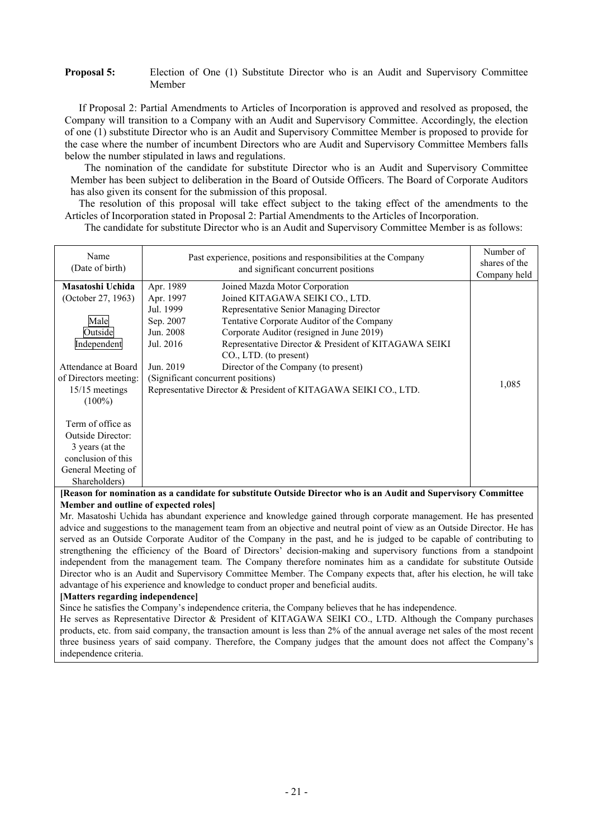## **Proposal 5:** Election of One (1) Substitute Director who is an Audit and Supervisory Committee Member

If Proposal 2: Partial Amendments to Articles of Incorporation is approved and resolved as proposed, the Company will transition to a Company with an Audit and Supervisory Committee. Accordingly, the election of one (1) substitute Director who is an Audit and Supervisory Committee Member is proposed to provide for the case where the number of incumbent Directors who are Audit and Supervisory Committee Members falls below the number stipulated in laws and regulations.

The nomination of the candidate for substitute Director who is an Audit and Supervisory Committee Member has been subject to deliberation in the Board of Outside Officers. The Board of Corporate Auditors has also given its consent for the submission of this proposal.

The resolution of this proposal will take effect subject to the taking effect of the amendments to the Articles of Incorporation stated in Proposal 2: Partial Amendments to the Articles of Incorporation.

The candidate for substitute Director who is an Audit and Supervisory Committee Member is as follows:

| Name                     | Past experience, positions and responsibilities at the Company | Number of                                                       |       |
|--------------------------|----------------------------------------------------------------|-----------------------------------------------------------------|-------|
| (Date of birth)          |                                                                | shares of the                                                   |       |
|                          |                                                                | Company held                                                    |       |
| Masatoshi Uchida         | Apr. 1989                                                      | Joined Mazda Motor Corporation                                  |       |
| (October 27, 1963)       | Apr. 1997                                                      | Joined KITAGAWA SEIKI CO., LTD.                                 |       |
|                          | Jul. 1999                                                      | Representative Senior Managing Director                         |       |
| Male                     | Sep. 2007                                                      | Tentative Corporate Auditor of the Company                      |       |
| Outside                  | Jun. 2008                                                      | Corporate Auditor (resigned in June 2019)                       |       |
| Independent              | Jul. 2016                                                      | Representative Director & President of KITAGAWA SEIKI           |       |
|                          |                                                                | CO., LTD. (to present)                                          |       |
| Attendance at Board      | Jun. 2019                                                      | Director of the Company (to present)                            |       |
| of Directors meeting:    |                                                                | (Significant concurrent positions)                              |       |
| 15/15 meetings           |                                                                | Representative Director & President of KITAGAWA SEIKI CO., LTD. | 1,085 |
| $(100\%)$                |                                                                |                                                                 |       |
|                          |                                                                |                                                                 |       |
| Term of office as        |                                                                |                                                                 |       |
| <b>Outside Director:</b> |                                                                |                                                                 |       |
| 3 years (at the          |                                                                |                                                                 |       |
| conclusion of this       |                                                                |                                                                 |       |
| General Meeting of       |                                                                |                                                                 |       |
| Shareholders)            |                                                                |                                                                 |       |

**[Reason for nomination as a candidate for substitute Outside Director who is an Audit and Supervisory Committee Member and outline of expected roles]** 

Mr. Masatoshi Uchida has abundant experience and knowledge gained through corporate management. He has presented advice and suggestions to the management team from an objective and neutral point of view as an Outside Director. He has served as an Outside Corporate Auditor of the Company in the past, and he is judged to be capable of contributing to strengthening the efficiency of the Board of Directors' decision-making and supervisory functions from a standpoint independent from the management team. The Company therefore nominates him as a candidate for substitute Outside Director who is an Audit and Supervisory Committee Member. The Company expects that, after his election, he will take advantage of his experience and knowledge to conduct proper and beneficial audits.

# **[Matters regarding independence]**

Since he satisfies the Company's independence criteria, the Company believes that he has independence.

He serves as Representative Director & President of KITAGAWA SEIKI CO., LTD. Although the Company purchases products, etc. from said company, the transaction amount is less than 2% of the annual average net sales of the most recent three business years of said company. Therefore, the Company judges that the amount does not affect the Company's independence criteria.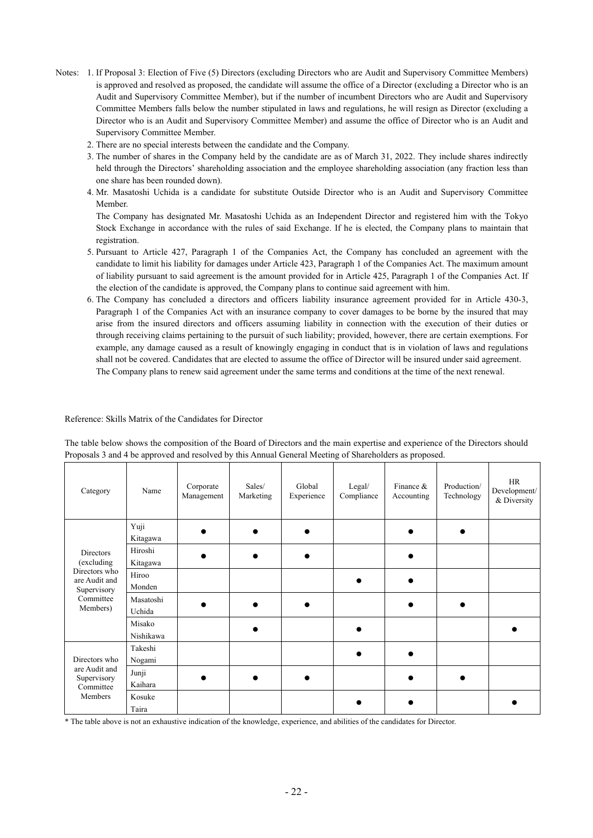- Notes: 1. If Proposal 3: Election of Five (5) Directors (excluding Directors who are Audit and Supervisory Committee Members) is approved and resolved as proposed, the candidate will assume the office of a Director (excluding a Director who is an Audit and Supervisory Committee Member), but if the number of incumbent Directors who are Audit and Supervisory Committee Members falls below the number stipulated in laws and regulations, he will resign as Director (excluding a Director who is an Audit and Supervisory Committee Member) and assume the office of Director who is an Audit and Supervisory Committee Member.
	- 2. There are no special interests between the candidate and the Company.
	- 3. The number of shares in the Company held by the candidate are as of March 31, 2022. They include shares indirectly held through the Directors' shareholding association and the employee shareholding association (any fraction less than one share has been rounded down).
	- 4. Mr. Masatoshi Uchida is a candidate for substitute Outside Director who is an Audit and Supervisory Committee Member.

 The Company has designated Mr. Masatoshi Uchida as an Independent Director and registered him with the Tokyo Stock Exchange in accordance with the rules of said Exchange. If he is elected, the Company plans to maintain that registration.

- 5. Pursuant to Article 427, Paragraph 1 of the Companies Act, the Company has concluded an agreement with the candidate to limit his liability for damages under Article 423, Paragraph 1 of the Companies Act. The maximum amount of liability pursuant to said agreement is the amount provided for in Article 425, Paragraph 1 of the Companies Act. If the election of the candidate is approved, the Company plans to continue said agreement with him.
- 6. The Company has concluded a directors and officers liability insurance agreement provided for in Article 430-3, Paragraph 1 of the Companies Act with an insurance company to cover damages to be borne by the insured that may arise from the insured directors and officers assuming liability in connection with the execution of their duties or through receiving claims pertaining to the pursuit of such liability; provided, however, there are certain exemptions. For example, any damage caused as a result of knowingly engaging in conduct that is in violation of laws and regulations shall not be covered. Candidates that are elected to assume the office of Director will be insured under said agreement. The Company plans to renew said agreement under the same terms and conditions at the time of the next renewal.

#### Reference: Skills Matrix of the Candidates for Director

The table below shows the composition of the Board of Directors and the main expertise and experience of the Directors should Proposals 3 and 4 be approved and resolved by this Annual General Meeting of Shareholders as proposed.

| Category                                      | Name                | Corporate<br>Management | Sales/<br>Marketing | Global<br>Experience | Legal/<br>Compliance | Finance $&$<br>Accounting | Production/<br>Technology | HR<br>Development/<br>& Diversity |
|-----------------------------------------------|---------------------|-------------------------|---------------------|----------------------|----------------------|---------------------------|---------------------------|-----------------------------------|
|                                               | Yuji<br>Kitagawa    |                         |                     |                      |                      |                           |                           |                                   |
| <b>Directors</b><br>(excluding                | Hiroshi<br>Kitagawa |                         |                     |                      |                      |                           |                           |                                   |
| Directors who<br>are Audit and<br>Supervisory | Hiroo<br>Monden     |                         |                     |                      |                      |                           |                           |                                   |
| Committee<br>Members)                         | Masatoshi<br>Uchida |                         |                     |                      |                      |                           |                           |                                   |
|                                               | Misako<br>Nishikawa |                         |                     |                      |                      |                           |                           |                                   |
| Directors who                                 | Takeshi<br>Nogami   |                         |                     |                      |                      |                           |                           |                                   |
| are Audit and<br>Supervisory<br>Committee     | Junji<br>Kaihara    |                         |                     |                      |                      |                           |                           |                                   |
| Members                                       | Kosuke<br>Taira     |                         |                     |                      |                      |                           |                           |                                   |

\* The table above is not an exhaustive indication of the knowledge, experience, and abilities of the candidates for Director.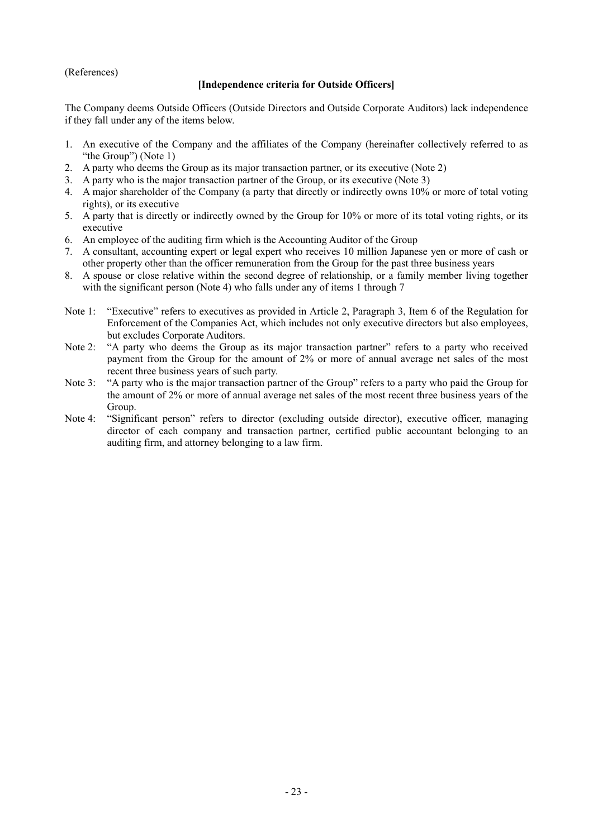# (References)

# **[Independence criteria for Outside Officers]**

The Company deems Outside Officers (Outside Directors and Outside Corporate Auditors) lack independence if they fall under any of the items below.

- 1. An executive of the Company and the affiliates of the Company (hereinafter collectively referred to as "the Group") (Note 1)
- 2. A party who deems the Group as its major transaction partner, or its executive (Note 2)
- 3. A party who is the major transaction partner of the Group, or its executive (Note 3)
- 4. A major shareholder of the Company (a party that directly or indirectly owns 10% or more of total voting rights), or its executive
- 5. A party that is directly or indirectly owned by the Group for 10% or more of its total voting rights, or its executive
- 6. An employee of the auditing firm which is the Accounting Auditor of the Group
- 7. A consultant, accounting expert or legal expert who receives 10 million Japanese yen or more of cash or other property other than the officer remuneration from the Group for the past three business years
- 8. A spouse or close relative within the second degree of relationship, or a family member living together with the significant person (Note 4) who falls under any of items 1 through 7
- Note 1: "Executive" refers to executives as provided in Article 2, Paragraph 3, Item 6 of the Regulation for Enforcement of the Companies Act, which includes not only executive directors but also employees, but excludes Corporate Auditors.
- Note 2: "A party who deems the Group as its major transaction partner" refers to a party who received payment from the Group for the amount of 2% or more of annual average net sales of the most recent three business years of such party.
- Note 3: "A party who is the major transaction partner of the Group" refers to a party who paid the Group for the amount of 2% or more of annual average net sales of the most recent three business years of the Group.
- Note 4: "Significant person" refers to director (excluding outside director), executive officer, managing director of each company and transaction partner, certified public accountant belonging to an auditing firm, and attorney belonging to a law firm.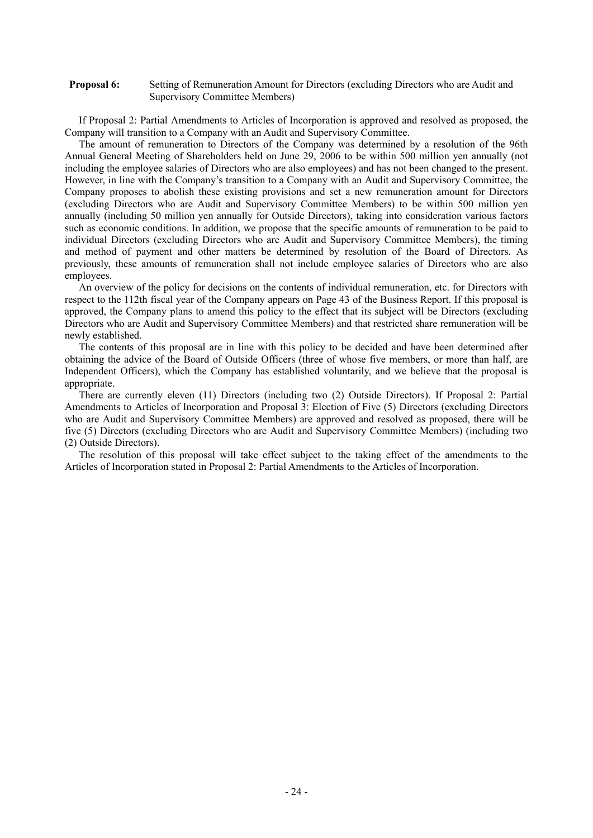#### **Proposal 6:** Setting of Remuneration Amount for Directors (excluding Directors who are Audit and Supervisory Committee Members)

If Proposal 2: Partial Amendments to Articles of Incorporation is approved and resolved as proposed, the Company will transition to a Company with an Audit and Supervisory Committee.

The amount of remuneration to Directors of the Company was determined by a resolution of the 96th Annual General Meeting of Shareholders held on June 29, 2006 to be within 500 million yen annually (not including the employee salaries of Directors who are also employees) and has not been changed to the present. However, in line with the Company's transition to a Company with an Audit and Supervisory Committee, the Company proposes to abolish these existing provisions and set a new remuneration amount for Directors (excluding Directors who are Audit and Supervisory Committee Members) to be within 500 million yen annually (including 50 million yen annually for Outside Directors), taking into consideration various factors such as economic conditions. In addition, we propose that the specific amounts of remuneration to be paid to individual Directors (excluding Directors who are Audit and Supervisory Committee Members), the timing and method of payment and other matters be determined by resolution of the Board of Directors. As previously, these amounts of remuneration shall not include employee salaries of Directors who are also employees.

An overview of the policy for decisions on the contents of individual remuneration, etc. for Directors with respect to the 112th fiscal year of the Company appears on Page 43 of the Business Report. If this proposal is approved, the Company plans to amend this policy to the effect that its subject will be Directors (excluding Directors who are Audit and Supervisory Committee Members) and that restricted share remuneration will be newly established.

The contents of this proposal are in line with this policy to be decided and have been determined after obtaining the advice of the Board of Outside Officers (three of whose five members, or more than half, are Independent Officers), which the Company has established voluntarily, and we believe that the proposal is appropriate.

There are currently eleven (11) Directors (including two (2) Outside Directors). If Proposal 2: Partial Amendments to Articles of Incorporation and Proposal 3: Election of Five (5) Directors (excluding Directors who are Audit and Supervisory Committee Members) are approved and resolved as proposed, there will be five (5) Directors (excluding Directors who are Audit and Supervisory Committee Members) (including two (2) Outside Directors).

The resolution of this proposal will take effect subject to the taking effect of the amendments to the Articles of Incorporation stated in Proposal 2: Partial Amendments to the Articles of Incorporation.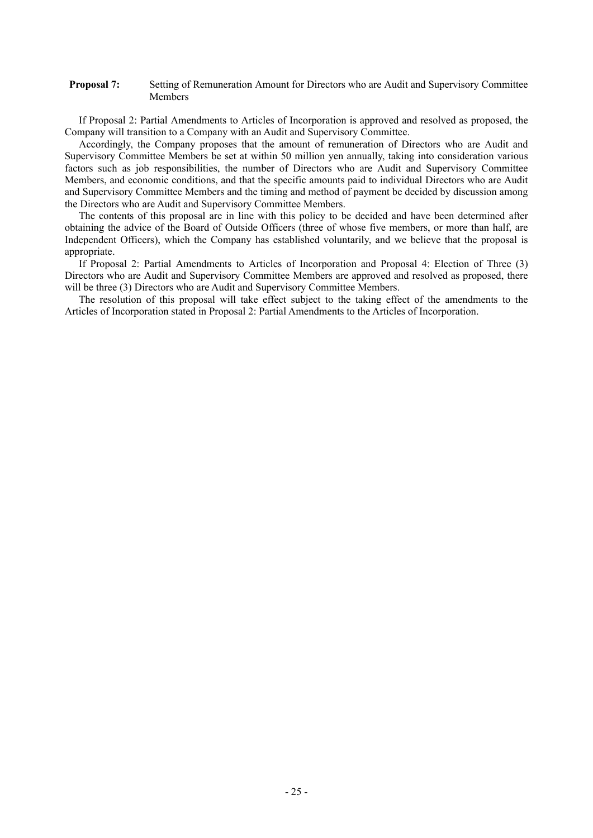#### **Proposal 7:** Setting of Remuneration Amount for Directors who are Audit and Supervisory Committee Members

If Proposal 2: Partial Amendments to Articles of Incorporation is approved and resolved as proposed, the Company will transition to a Company with an Audit and Supervisory Committee.

Accordingly, the Company proposes that the amount of remuneration of Directors who are Audit and Supervisory Committee Members be set at within 50 million yen annually, taking into consideration various factors such as job responsibilities, the number of Directors who are Audit and Supervisory Committee Members, and economic conditions, and that the specific amounts paid to individual Directors who are Audit and Supervisory Committee Members and the timing and method of payment be decided by discussion among the Directors who are Audit and Supervisory Committee Members.

The contents of this proposal are in line with this policy to be decided and have been determined after obtaining the advice of the Board of Outside Officers (three of whose five members, or more than half, are Independent Officers), which the Company has established voluntarily, and we believe that the proposal is appropriate.

If Proposal 2: Partial Amendments to Articles of Incorporation and Proposal 4: Election of Three (3) Directors who are Audit and Supervisory Committee Members are approved and resolved as proposed, there will be three (3) Directors who are Audit and Supervisory Committee Members.

The resolution of this proposal will take effect subject to the taking effect of the amendments to the Articles of Incorporation stated in Proposal 2: Partial Amendments to the Articles of Incorporation.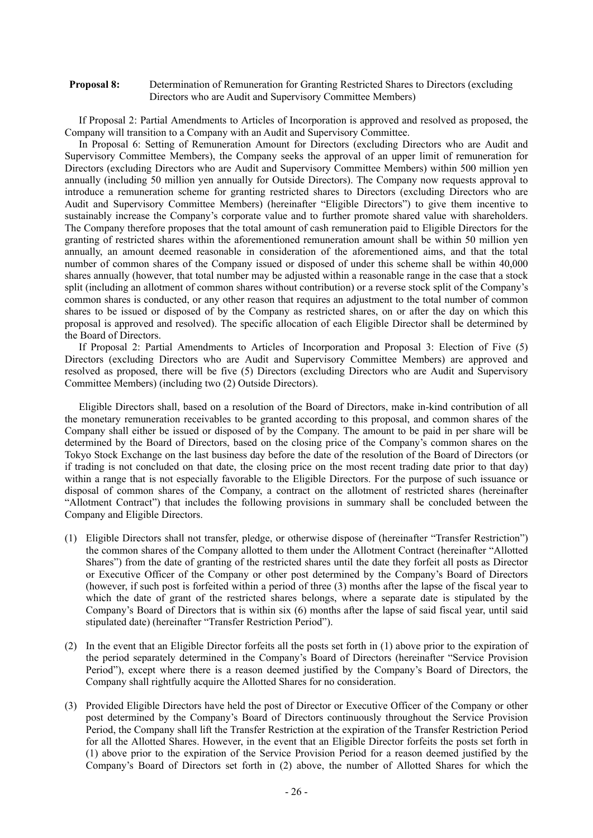#### **Proposal 8:** Determination of Remuneration for Granting Restricted Shares to Directors (excluding Directors who are Audit and Supervisory Committee Members)

If Proposal 2: Partial Amendments to Articles of Incorporation is approved and resolved as proposed, the Company will transition to a Company with an Audit and Supervisory Committee.

In Proposal 6: Setting of Remuneration Amount for Directors (excluding Directors who are Audit and Supervisory Committee Members), the Company seeks the approval of an upper limit of remuneration for Directors (excluding Directors who are Audit and Supervisory Committee Members) within 500 million yen annually (including 50 million yen annually for Outside Directors). The Company now requests approval to introduce a remuneration scheme for granting restricted shares to Directors (excluding Directors who are Audit and Supervisory Committee Members) (hereinafter "Eligible Directors") to give them incentive to sustainably increase the Company's corporate value and to further promote shared value with shareholders. The Company therefore proposes that the total amount of cash remuneration paid to Eligible Directors for the granting of restricted shares within the aforementioned remuneration amount shall be within 50 million yen annually, an amount deemed reasonable in consideration of the aforementioned aims, and that the total number of common shares of the Company issued or disposed of under this scheme shall be within 40,000 shares annually (however, that total number may be adjusted within a reasonable range in the case that a stock split (including an allotment of common shares without contribution) or a reverse stock split of the Company's common shares is conducted, or any other reason that requires an adjustment to the total number of common shares to be issued or disposed of by the Company as restricted shares, on or after the day on which this proposal is approved and resolved). The specific allocation of each Eligible Director shall be determined by the Board of Directors.

If Proposal 2: Partial Amendments to Articles of Incorporation and Proposal 3: Election of Five (5) Directors (excluding Directors who are Audit and Supervisory Committee Members) are approved and resolved as proposed, there will be five (5) Directors (excluding Directors who are Audit and Supervisory Committee Members) (including two (2) Outside Directors).

Eligible Directors shall, based on a resolution of the Board of Directors, make in-kind contribution of all the monetary remuneration receivables to be granted according to this proposal, and common shares of the Company shall either be issued or disposed of by the Company. The amount to be paid in per share will be determined by the Board of Directors, based on the closing price of the Company's common shares on the Tokyo Stock Exchange on the last business day before the date of the resolution of the Board of Directors (or if trading is not concluded on that date, the closing price on the most recent trading date prior to that day) within a range that is not especially favorable to the Eligible Directors. For the purpose of such issuance or disposal of common shares of the Company, a contract on the allotment of restricted shares (hereinafter "Allotment Contract") that includes the following provisions in summary shall be concluded between the Company and Eligible Directors.

- (1) Eligible Directors shall not transfer, pledge, or otherwise dispose of (hereinafter "Transfer Restriction") the common shares of the Company allotted to them under the Allotment Contract (hereinafter "Allotted Shares") from the date of granting of the restricted shares until the date they forfeit all posts as Director or Executive Officer of the Company or other post determined by the Company's Board of Directors (however, if such post is forfeited within a period of three (3) months after the lapse of the fiscal year to which the date of grant of the restricted shares belongs, where a separate date is stipulated by the Company's Board of Directors that is within six (6) months after the lapse of said fiscal year, until said stipulated date) (hereinafter "Transfer Restriction Period").
- (2) In the event that an Eligible Director forfeits all the posts set forth in (1) above prior to the expiration of the period separately determined in the Company's Board of Directors (hereinafter "Service Provision Period"), except where there is a reason deemed justified by the Company's Board of Directors, the Company shall rightfully acquire the Allotted Shares for no consideration.
- (3) Provided Eligible Directors have held the post of Director or Executive Officer of the Company or other post determined by the Company's Board of Directors continuously throughout the Service Provision Period, the Company shall lift the Transfer Restriction at the expiration of the Transfer Restriction Period for all the Allotted Shares. However, in the event that an Eligible Director forfeits the posts set forth in (1) above prior to the expiration of the Service Provision Period for a reason deemed justified by the Company's Board of Directors set forth in (2) above, the number of Allotted Shares for which the